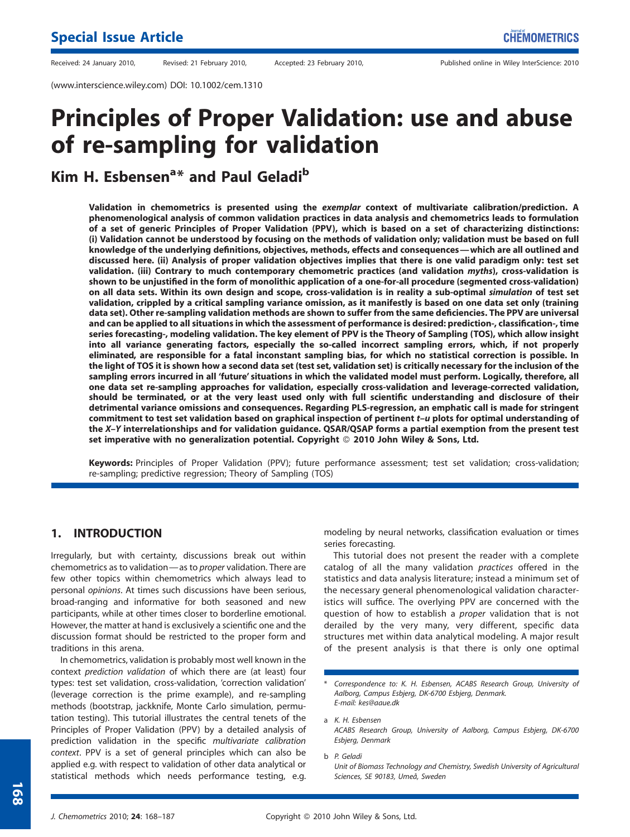Received: 24 January 2010, Revised: 21 February 2010, Accepted: 23 February 2010, Published online in Wiley InterScience: 2010

**CHEMOMETRICS** 

(www.interscience.wiley.com) DOI: 10.1002/cem.1310

# Principles of Proper Validation: use and abuse of re-sampling for validation

## Kim H. Esbensen<sup>a\*</sup> and Paul Geladi<sup>b</sup>

Validation in chemometrics is presented using the exemplar context of multivariate calibration/prediction. A phenomenological analysis of common validation practices in data analysis and chemometrics leads to formulation of a set of generic Principles of Proper Validation (PPV), which is based on a set of characterizing distinctions: (i) Validation cannot be understood by focusing on the methods of validation only; validation must be based on full knowledge of the underlying definitions, objectives, methods, effects and consequences—which are all outlined and discussed here. (ii) Analysis of proper validation objectives implies that there is one valid paradigm only: test set validation. (iii) Contrary to much contemporary chemometric practices (and validation myths), cross-validation is shown to be unjustified in the form of monolithic application of a one-for-all procedure (segmented cross-validation) on all data sets. Within its own design and scope, cross-validation is in reality a sub-optimal simulation of test set validation, crippled by a critical sampling variance omission, as it manifestly is based on one data set only (training data set). Other re-sampling validation methods are shown to suffer from the same deficiencies. The PPV are universal and can be applied to all situations in which the assessment of performance is desired: prediction-, classification-, time series forecasting-, modeling validation. The key element of PPV is the Theory of Sampling (TOS), which allow insight into all variance generating factors, especially the so-called incorrect sampling errors, which, if not properly eliminated, are responsible for a fatal inconstant sampling bias, for which no statistical correction is possible. In the light of TOS it is shown how a second data set (test set, validation set) is critically necessary for the inclusion of the sampling errors incurred in all 'future' situations in which the validated model must perform. Logically, therefore, all one data set re-sampling approaches for validation, especially cross-validation and leverage-corrected validation, should be terminated, or at the very least used only with full scientific understanding and disclosure of their detrimental variance omissions and consequences. Regarding PLS-regression, an emphatic call is made for stringent commitment to test set validation based on graphical inspection of pertinent t–u plots for optimal understanding of the X–Y interrelationships and for validation guidance. QSAR/QSAP forms a partial exemption from the present test set imperative with no generalization potential. Copyright 2010 John Wiley & Sons, Ltd.

Keywords: Principles of Proper Validation (PPV); future performance assessment; test set validation; cross-validation; re-sampling; predictive regression; Theory of Sampling (TOS)

## 1. INTRODUCTION

Irregularly, but with certainty, discussions break out within chemometrics as to validation—as to proper validation. There are few other topics within chemometrics which always lead to personal opinions. At times such discussions have been serious, broad-ranging and informative for both seasoned and new participants, while at other times closer to borderline emotional. However, the matter at hand is exclusively a scientific one and the discussion format should be restricted to the proper form and traditions in this arena.

In chemometrics, validation is probably most well known in the context prediction validation of which there are (at least) four types: test set validation, cross-validation, 'correction validation' (leverage correction is the prime example), and re-sampling methods (bootstrap, jackknife, Monte Carlo simulation, permutation testing). This tutorial illustrates the central tenets of the Principles of Proper Validation (PPV) by a detailed analysis of prediction validation in the specific multivariate calibration context. PPV is a set of general principles which can also be applied e.g. with respect to validation of other data analytical or statistical methods which needs performance testing, e.g. modeling by neural networks, classification evaluation or times series forecasting.

This tutorial does not present the reader with a complete catalog of all the many validation practices offered in the statistics and data analysis literature; instead a minimum set of the necessary general phenomenological validation characteristics will suffice. The overlying PPV are concerned with the question of how to establish a proper validation that is not derailed by the very many, very different, specific data structures met within data analytical modeling. A major result of the present analysis is that there is only one optimal

Correspondence to: K. H. Esbensen, ACABS Research Group, University of Aalborg, Campus Esbjerg, DK-6700 Esbjerg, Denmark. E-mail: kes@aaue.dk

a K. H. Esbensen ACABS Research Group, University of Aalborg, Campus Esbjerg, DK-6700 Esbjerg, Denmark

b P. Geladi Unit of Biomass Technology and Chemistry, Swedish University of Agricultural Sciences, SE 90183, Umeå, Sweden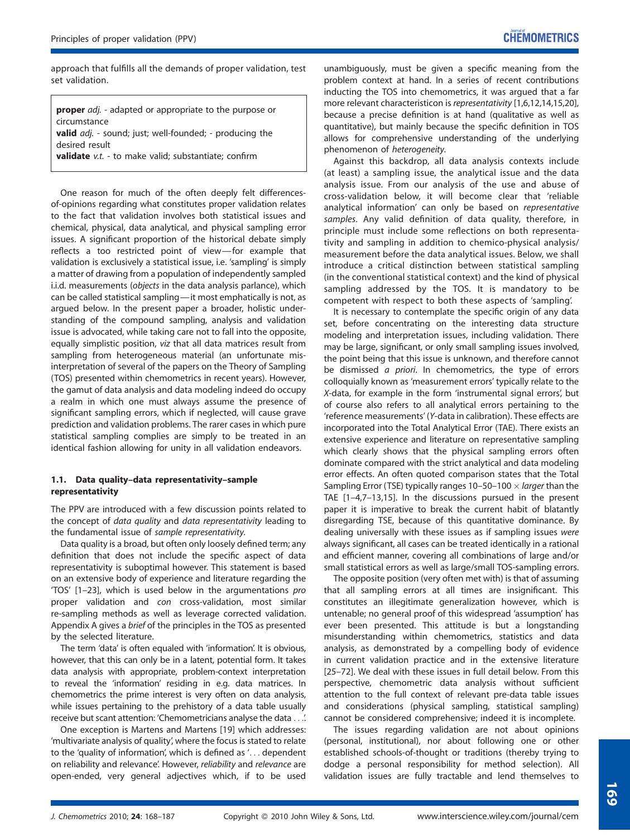approach that fulfills all the demands of proper validation, test set validation.

proper *adj.* - adapted or appropriate to the purpose or circumstance

valid *adj.* - sound; just; well-founded; - producing the desired result

**validate** v.t. - to make valid; substantiate; confirm

One reason for much of the often deeply felt differencesof-opinions regarding what constitutes proper validation relates to the fact that validation involves both statistical issues and chemical, physical, data analytical, and physical sampling error issues. A significant proportion of the historical debate simply reflects a too restricted point of view—for example that validation is exclusively a statistical issue, i.e. 'sampling' is simply a matter of drawing from a population of independently sampled i.i.d. measurements (objects in the data analysis parlance), which can be called statistical sampling—it most emphatically is not, as argued below. In the present paper a broader, holistic understanding of the compound sampling, analysis and validation issue is advocated, while taking care not to fall into the opposite, equally simplistic position, viz that all data matrices result from sampling from heterogeneous material (an unfortunate misinterpretation of several of the papers on the Theory of Sampling (TOS) presented within chemometrics in recent years). However, the gamut of data analysis and data modeling indeed do occupy a realm in which one must always assume the presence of significant sampling errors, which if neglected, will cause grave prediction and validation problems. The rarer cases in which pure statistical sampling complies are simply to be treated in an identical fashion allowing for unity in all validation endeavors.

#### 1.1. Data quality–data representativity–sample representativity

The PPV are introduced with a few discussion points related to the concept of data quality and data representativity leading to the fundamental issue of sample representativity.

Data quality is a broad, but often only loosely defined term; any definition that does not include the specific aspect of data representativity is suboptimal however. This statement is based on an extensive body of experience and literature regarding the 'TOS' [1–23], which is used below in the argumentations pro proper validation and con cross-validation, most similar re-sampling methods as well as leverage corrected validation. Appendix A gives a brief of the principles in the TOS as presented by the selected literature.

The term 'data' is often equaled with 'information'. It is obvious, however, that this can only be in a latent, potential form. It takes data analysis with appropriate, problem-context interpretation to reveal the 'information' residing in e.g. data matrices. In chemometrics the prime interest is very often on data analysis, while issues pertaining to the prehistory of a data table usually receive but scant attention: 'Chemometricians analyse the data ...'.

One exception is Martens and Martens [19] which addresses: 'multivariate analysis of quality', where the focus is stated to relate to the 'quality of information', which is defined as '... dependent on reliability and relevance'. However, reliability and relevance are open-ended, very general adjectives which, if to be used

unambiguously, must be given a specific meaning from the problem context at hand. In a series of recent contributions inducting the TOS into chemometrics, it was argued that a far more relevant characteristicon is representativity [1,6,12,14,15,20], because a precise definition is at hand (qualitative as well as quantitative), but mainly because the specific definition in TOS allows for comprehensive understanding of the underlying phenomenon of heterogeneity.

Against this backdrop, all data analysis contexts include (at least) a sampling issue, the analytical issue and the data analysis issue. From our analysis of the use and abuse of cross-validation below, it will become clear that 'reliable analytical information' can only be based on representative samples. Any valid definition of data quality, therefore, in principle must include some reflections on both representativity and sampling in addition to chemico-physical analysis/ measurement before the data analytical issues. Below, we shall introduce a critical distinction between statistical sampling (in the conventional statistical context) and the kind of physical sampling addressed by the TOS. It is mandatory to be competent with respect to both these aspects of 'sampling'.

It is necessary to contemplate the specific origin of any data set, before concentrating on the interesting data structure modeling and interpretation issues, including validation. There may be large, significant, or only small sampling issues involved, the point being that this issue is unknown, and therefore cannot be dismissed a priori. In chemometrics, the type of errors colloquially known as 'measurement errors' typically relate to the X-data, for example in the form 'instrumental signal errors', but of course also refers to all analytical errors pertaining to the 'reference measurements' (Y-data in calibration). These effects are incorporated into the Total Analytical Error (TAE). There exists an extensive experience and literature on representative sampling which clearly shows that the physical sampling errors often dominate compared with the strict analytical and data modeling error effects. An often quoted comparison states that the Total Sampling Error (TSE) typically ranges  $10-50-100 \times larger$  than the TAE [1–4,7–13,15]. In the discussions pursued in the present paper it is imperative to break the current habit of blatantly disregarding TSE, because of this quantitative dominance. By dealing universally with these issues as if sampling issues were always significant, all cases can be treated identically in a rational and efficient manner, covering all combinations of large and/or small statistical errors as well as large/small TOS-sampling errors.

The opposite position (very often met with) is that of assuming that all sampling errors at all times are insignificant. This constitutes an illegitimate generalization however, which is untenable; no general proof of this widespread 'assumption' has ever been presented. This attitude is but a longstanding misunderstanding within chemometrics, statistics and data analysis, as demonstrated by a compelling body of evidence in current validation practice and in the extensive literature [25–72]. We deal with these issues in full detail below. From this perspective, chemometric data analysis without sufficient attention to the full context of relevant pre-data table issues and considerations (physical sampling, statistical sampling) cannot be considered comprehensive; indeed it is incomplete.

The issues regarding validation are not about opinions (personal, institutional), nor about following one or other established schools-of-thought or traditions (thereby trying to dodge a personal responsibility for method selection). All validation issues are fully tractable and lend themselves to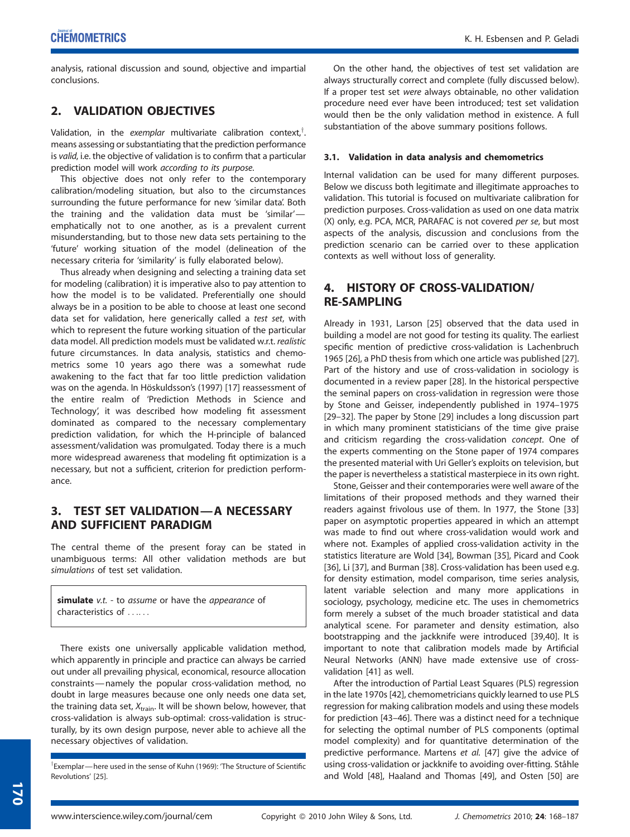analysis, rational discussion and sound, objective and impartial conclusions.

## 2. VALIDATION OBJECTIVES

Validation, in the exemplar multivariate calibration context,<sup> $\bar{f}$ </sup>. . means assessing or substantiating that the prediction performance is valid, i.e. the objective of validation is to confirm that a particular prediction model will work according to its purpose.

This objective does not only refer to the contemporary calibration/modeling situation, but also to the circumstances surrounding the future performance for new 'similar data'. Both the training and the validation data must be 'similar' emphatically not to one another, as is a prevalent current misunderstanding, but to those new data sets pertaining to the 'future' working situation of the model (delineation of the necessary criteria for 'similarity' is fully elaborated below).

Thus already when designing and selecting a training data set for modeling (calibration) it is imperative also to pay attention to how the model is to be validated. Preferentially one should always be in a position to be able to choose at least one second data set for validation, here generically called a test set, with which to represent the future working situation of the particular data model. All prediction models must be validated w.r.t. realistic future circumstances. In data analysis, statistics and chemometrics some 10 years ago there was a somewhat rude awakening to the fact that far too little prediction validation was on the agenda. In Höskuldsson's (1997) [17] reassessment of the entire realm of 'Prediction Methods in Science and Technology', it was described how modeling fit assessment dominated as compared to the necessary complementary prediction validation, for which the H-principle of balanced assessment/validation was promulgated. Today there is a much more widespread awareness that modeling fit optimization is a necessary, but not a sufficient, criterion for prediction performance.

## 3. TEST SET VALIDATION—A NECESSARY AND SUFFICIENT PARADIGM

The central theme of the present foray can be stated in unambiguous terms: All other validation methods are but simulations of test set validation.

simulate v.t. - to assume or have the appearance of characteristics of . . .. . .

There exists one universally applicable validation method, which apparently in principle and practice can always be carried out under all prevailing physical, economical, resource allocation constraints—namely the popular cross-validation method, no doubt in large measures because one only needs one data set, the training data set,  $X_{train}$ . It will be shown below, however, that cross-validation is always sub-optimal: cross-validation is structurally, by its own design purpose, never able to achieve all the necessary objectives of validation.

 $^\dagger$ Exemplar—here used in the sense of Kuhn (1969): 'The Structure of Scientific Revolutions' [25].

On the other hand, the objectives of test set validation are always structurally correct and complete (fully discussed below). If a proper test set were always obtainable, no other validation procedure need ever have been introduced; test set validation would then be the only validation method in existence. A full substantiation of the above summary positions follows.

#### 3.1. Validation in data analysis and chemometrics

Internal validation can be used for many different purposes. Below we discuss both legitimate and illegitimate approaches to validation. This tutorial is focused on multivariate calibration for prediction purposes. Cross-validation as used on one data matrix (X) only, e.g. PCA, MCR, PARAFAC is not covered per se, but most aspects of the analysis, discussion and conclusions from the prediction scenario can be carried over to these application contexts as well without loss of generality.

## 4. HISTORY OF CROSS-VALIDATION/ RE-SAMPLING

Already in 1931, Larson [25] observed that the data used in building a model are not good for testing its quality. The earliest specific mention of predictive cross-validation is Lachenbruch 1965 [26], a PhD thesis from which one article was published [27]. Part of the history and use of cross-validation in sociology is documented in a review paper [28]. In the historical perspective the seminal papers on cross-validation in regression were those by Stone and Geisser, independently published in 1974–1975 [29–32]. The paper by Stone [29] includes a long discussion part in which many prominent statisticians of the time give praise and criticism regarding the cross-validation concept. One of the experts commenting on the Stone paper of 1974 compares the presented material with Uri Geller's exploits on television, but the paper is nevertheless a statistical masterpiece in its own right.

Stone, Geisser and their contemporaries were well aware of the limitations of their proposed methods and they warned their readers against frivolous use of them. In 1977, the Stone [33] paper on asymptotic properties appeared in which an attempt was made to find out where cross-validation would work and where not. Examples of applied cross-validation activity in the statistics literature are Wold [34], Bowman [35], Picard and Cook [36], Li [37], and Burman [38]. Cross-validation has been used e.g. for density estimation, model comparison, time series analysis, latent variable selection and many more applications in sociology, psychology, medicine etc. The uses in chemometrics form merely a subset of the much broader statistical and data analytical scene. For parameter and density estimation, also bootstrapping and the jackknife were introduced [39,40]. It is important to note that calibration models made by Artificial Neural Networks (ANN) have made extensive use of crossvalidation [41] as well.

After the introduction of Partial Least Squares (PLS) regression in the late 1970s [42], chemometricians quickly learned to use PLS regression for making calibration models and using these models for prediction [43–46]. There was a distinct need for a technique for selecting the optimal number of PLS components (optimal model complexity) and for quantitative determination of the predictive performance. Martens et al. [47] give the advice of using cross-validation or jackknife to avoiding over-fitting. Ståhle and Wold [48], Haaland and Thomas [49], and Osten [50] are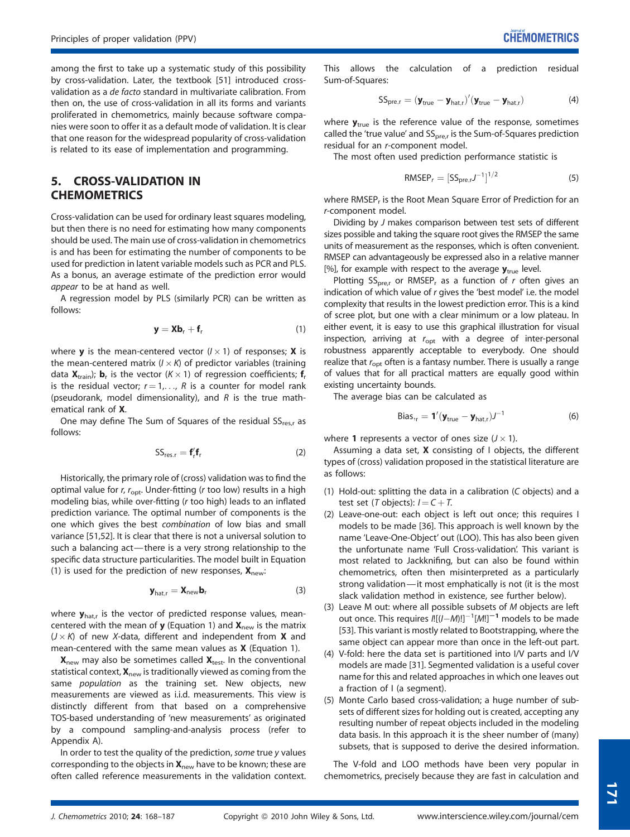among the first to take up a systematic study of this possibility by cross-validation. Later, the textbook [51] introduced crossvalidation as a de facto standard in multivariate calibration. From then on, the use of cross-validation in all its forms and variants proliferated in chemometrics, mainly because software companies were soon to offer it as a default mode of validation. It is clear that one reason for the widespread popularity of cross-validation is related to its ease of implementation and programming.

## 5. CROSS-VALIDATION IN **CHEMOMETRICS**

Cross-validation can be used for ordinary least squares modeling, but then there is no need for estimating how many components should be used. The main use of cross-validation in chemometrics is and has been for estimating the number of components to be used for prediction in latent variable models such as PCR and PLS. As a bonus, an average estimate of the prediction error would appear to be at hand as well.

A regression model by PLS (similarly PCR) can be written as follows:

$$
\mathbf{y} = \mathbf{X} \mathbf{b}_r + \mathbf{f}_r \tag{1}
$$

where **y** is the mean-centered vector  $(l \times 1)$  of responses; **X** is the mean-centered matrix  $(l \times K)$  of predictor variables (training data  $\mathbf{X}_{\text{train}}$ );  $\mathbf{b}_r$  is the vector ( $K \times 1$ ) of regression coefficients;  $\mathbf{f}_r$ is the residual vector;  $r = 1, \ldots, R$  is a counter for model rank (pseudorank, model dimensionality), and  $R$  is the true mathematical rank of X.

One may define The Sum of Squares of the residual  $SS_{res,r}$  as follows:

$$
SS_{res.r} = \mathbf{f}'_r \mathbf{f}_r \tag{2}
$$

Historically, the primary role of (cross) validation was to find the optimal value for  $r$ ,  $r_{\text{opt}}$ . Under-fitting ( $r$  too low) results in a high modeling bias, while over-fitting (r too high) leads to an inflated prediction variance. The optimal number of components is the one which gives the best combination of low bias and small variance [51,52]. It is clear that there is not a universal solution to such a balancing act— there is a very strong relationship to the specific data structure particularities. The model built in Equation (1) is used for the prediction of new responses,  $\mathbf{X}_{\text{new}}$ :

$$
\mathbf{y}_{\text{hat,r}} = \mathbf{X}_{\text{new}} \mathbf{b}_r \tag{3}
$$

where  $y_{\text{hatr}}$  is the vector of predicted response values, meancentered with the mean of **y** (Equation 1) and  $X_{new}$  is the matrix  $(J \times K)$  of new X-data, different and independent from **X** and mean-centered with the same mean values as X (Equation 1).

 $X_{\text{new}}$  may also be sometimes called  $X_{\text{test}}$ . In the conventional statistical context,  $\mathbf{X}_{new}$  is traditionally viewed as coming from the same *population* as the training set. New objects, new measurements are viewed as i.i.d. measurements. This view is distinctly different from that based on a comprehensive TOS-based understanding of 'new measurements' as originated by a compound sampling-and-analysis process (refer to Appendix A).

In order to test the quality of the prediction, some true y values corresponding to the objects in  $\mathbf{X}_{new}$  have to be known; these are often called reference measurements in the validation context. This allows the calculation of a prediction residual Sum-of-Squares:

$$
SS_{pre,r} = (\mathbf{y}_{true} - \mathbf{y}_{hat,r})'(\mathbf{y}_{true} - \mathbf{y}_{hat,r})
$$
(4)

where  $y_{true}$  is the reference value of the response, sometimes called the 'true value' and  $SS_{pre,r}$  is the Sum-of-Squares prediction residual for an r-component model.

The most often used prediction performance statistic is

RMSEP<sub>r</sub> = 
$$
[SS_{pre,r}J^{-1}]^{1/2}
$$
 (5)

where RMSEP<sub>r</sub> is the Root Mean Square Error of Prediction for an r-component model.

Dividing by J makes comparison between test sets of different sizes possible and taking the square root gives the RMSEP the same units of measurement as the responses, which is often convenient. RMSEP can advantageously be expressed also in a relative manner [%], for example with respect to the average  $y_{true}$  level.

Plotting  $SS<sub>pre.r</sub>$  or RMSEP<sub>r</sub> as a function of r often gives an indication of which value of r gives the 'best model' i.e. the model complexity that results in the lowest prediction error. This is a kind of scree plot, but one with a clear minimum or a low plateau. In either event, it is easy to use this graphical illustration for visual inspection, arriving at  $r_{opt}$  with a degree of inter-personal robustness apparently acceptable to everybody. One should realize that  $r_{\text{opt}}$  often is a fantasy number. There is usually a range of values that for all practical matters are equally good within existing uncertainty bounds.

The average bias can be calculated as

$$
\text{Bias}_{\text{tr}} = \mathbf{1}'(\mathbf{y}_{\text{true}} - \mathbf{y}_{\text{hat,r}})J^{-1}
$$
(6)

where 1 represents a vector of ones size  $(J \times 1)$ .

Assuming a data set,  $X$  consisting of I objects, the different types of (cross) validation proposed in the statistical literature are as follows:

- (1) Hold-out: splitting the data in a calibration (C objects) and a test set (T objects):  $I = C + T$ .
- (2) Leave-one-out: each object is left out once; this requires I models to be made [36]. This approach is well known by the name 'Leave-One-Object' out (LOO). This has also been given the unfortunate name 'Full Cross-validation'. This variant is most related to Jackknifing, but can also be found within chemometrics, often then misinterpreted as a particularly strong validation—it most emphatically is not (it is the most slack validation method in existence, see further below).
- (3) Leave M out: where all possible subsets of M objects are left out once. This requires  $\frac{1}{2}$ [(*I-M*)!]<sup>-1</sup>[M!]<sup>-1</sup> models to be made [53]. This variant is mostly related to Bootstrapping, where the same object can appear more than once in the left-out part.
- (4) V-fold: here the data set is partitioned into I/V parts and I/V models are made [31]. Segmented validation is a useful cover name for this and related approaches in which one leaves out a fraction of I (a segment).
- (5) Monte Carlo based cross-validation; a huge number of subsets of different sizes for holding out is created, accepting any resulting number of repeat objects included in the modeling data basis. In this approach it is the sheer number of (many) subsets, that is supposed to derive the desired information.

The V-fold and LOO methods have been very popular in chemometrics, precisely because they are fast in calculation and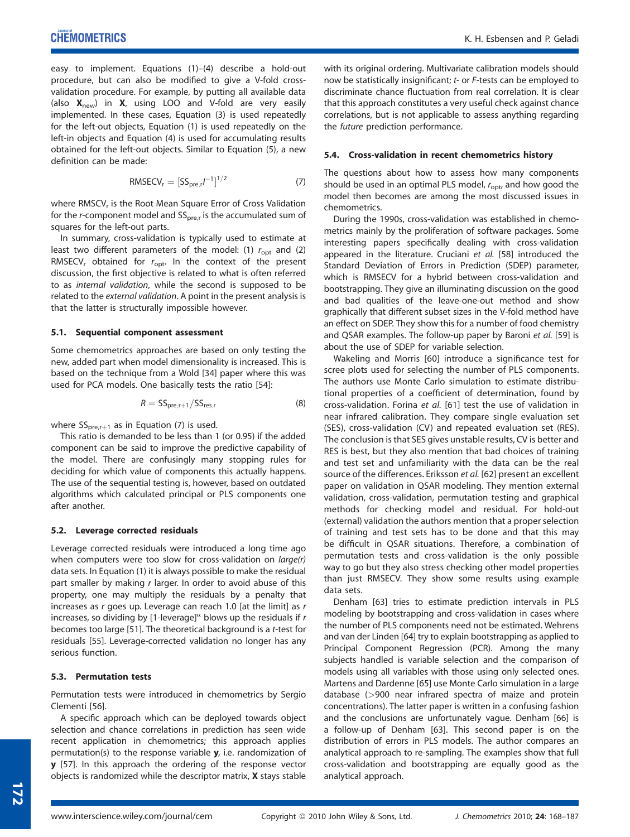easy to implement. Equations (1)–(4) describe a hold-out procedure, but can also be modified to give a V-fold crossvalidation procedure. For example, by putting all available data (also  $X_{new}$ ) in  $X$ , using LOO and V-fold are very easily implemented. In these cases, Equation (3) is used repeatedly for the left-out objects, Equation (1) is used repeatedly on the left-in objects and Equation (4) is used for accumulating results obtained for the left-out objects. Similar to Equation (5), a new definition can be made:

RMSECV<sub>r</sub> = 
$$
[SS_{pre,r}t^{-1}]^{1/2}
$$
 (7)

where RMSCV<sub>r</sub> is the Root Mean Square Error of Cross Validation for the r-component model and  $SS<sub>pre,r</sub>$  is the accumulated sum of squares for the left-out parts.

In summary, cross-validation is typically used to estimate at least two different parameters of the model: (1)  $r_{\text{opt}}$  and (2) RMSECV<sub>r</sub> obtained for  $r_{\text{opt}}$ . In the context of the present discussion, the first objective is related to what is often referred to as internal validation, while the second is supposed to be related to the external validation. A point in the present analysis is that the latter is structurally impossible however.

#### 5.1. Sequential component assessment

Some chemometrics approaches are based on only testing the new, added part when model dimensionality is increased. This is based on the technique from a Wold [34] paper where this was used for PCA models. One basically tests the ratio [54]:

$$
R = SS_{pre,r+1}/SS_{res,r}
$$
 (8)

where  $SS_{pre,r+1}$  as in Equation (7) is used.

This ratio is demanded to be less than 1 (or 0.95) if the added component can be said to improve the predictive capability of the model. There are confusingly many stopping rules for deciding for which value of components this actually happens. The use of the sequential testing is, however, based on outdated algorithms which calculated principal or PLS components one after another.

#### 5.2. Leverage corrected residuals

Leverage corrected residuals were introduced a long time ago when computers were too slow for cross-validation on large(r) data sets. In Equation (1) it is always possible to make the residual part smaller by making r larger. In order to avoid abuse of this property, one may multiply the residuals by a penalty that increases as  $r$  goes up. Leverage can reach 1.0 [at the limit] as  $r$ increases, so dividing by  $[1$ -leverage]<sup> $\alpha$ </sup> blows up the residuals if r becomes too large [51]. The theoretical background is a t-test for residuals [55]. Leverage-corrected validation no longer has any serious function.

#### 5.3. Permutation tests

Permutation tests were introduced in chemometrics by Sergio Clementi [56].

A specific approach which can be deployed towards object selection and chance correlations in prediction has seen wide recent application in chemometrics; this approach applies permutation(s) to the response variable y, i.e. randomization of y [57]. In this approach the ordering of the response vector objects is randomized while the descriptor matrix, X stays stable with its original ordering. Multivariate calibration models should now be statistically insignificant; t- or F-tests can be employed to discriminate chance fluctuation from real correlation. It is clear that this approach constitutes a very useful check against chance correlations, but is not applicable to assess anything regarding the future prediction performance.

#### 5.4. Cross-validation in recent chemometrics history

The questions about how to assess how many components should be used in an optimal PLS model,  $r_{\rm opt}$  and how good the model then becomes are among the most discussed issues in chemometrics.

During the 1990s, cross-validation was established in chemometrics mainly by the proliferation of software packages. Some interesting papers specifically dealing with cross-validation appeared in the literature. Cruciani et al. [58] introduced the Standard Deviation of Errors in Prediction (SDEP) parameter, which is RMSECV for a hybrid between cross-validation and bootstrapping. They give an illuminating discussion on the good and bad qualities of the leave-one-out method and show graphically that different subset sizes in the V-fold method have an effect on SDEP. They show this for a number of food chemistry and QSAR examples. The follow-up paper by Baroni et al. [59] is about the use of SDEP for variable selection.

Wakeling and Morris [60] introduce a significance test for scree plots used for selecting the number of PLS components. The authors use Monte Carlo simulation to estimate distributional properties of a coefficient of determination, found by cross-validation. Forina et al. [61] test the use of validation in near infrared calibration. They compare single evaluation set (SES), cross-validation (CV) and repeated evaluation set (RES). The conclusion is that SES gives unstable results, CV is better and RES is best, but they also mention that bad choices of training and test set and unfamiliarity with the data can be the real source of the differences. Eriksson et al. [62] present an excellent paper on validation in QSAR modeling. They mention external validation, cross-validation, permutation testing and graphical methods for checking model and residual. For hold-out (external) validation the authors mention that a proper selection of training and test sets has to be done and that this may be difficult in QSAR situations. Therefore, a combination of permutation tests and cross-validation is the only possible way to go but they also stress checking other model properties than just RMSECV. They show some results using example data sets.

Denham [63] tries to estimate prediction intervals in PLS modeling by bootstrapping and cross-validation in cases where the number of PLS components need not be estimated. Wehrens and van der Linden [64] try to explain bootstrapping as applied to Principal Component Regression (PCR). Among the many subjects handled is variable selection and the comparison of models using all variables with those using only selected ones. Martens and Dardenne [65] use Monte Carlo simulation in a large database (>900 near infrared spectra of maize and protein concentrations). The latter paper is written in a confusing fashion and the conclusions are unfortunately vague. Denham [66] is a follow-up of Denham [63]. This second paper is on the distribution of errors in PLS models. The author compares an analytical approach to re-sampling. The examples show that full cross-validation and bootstrapping are equally good as the analytical approach.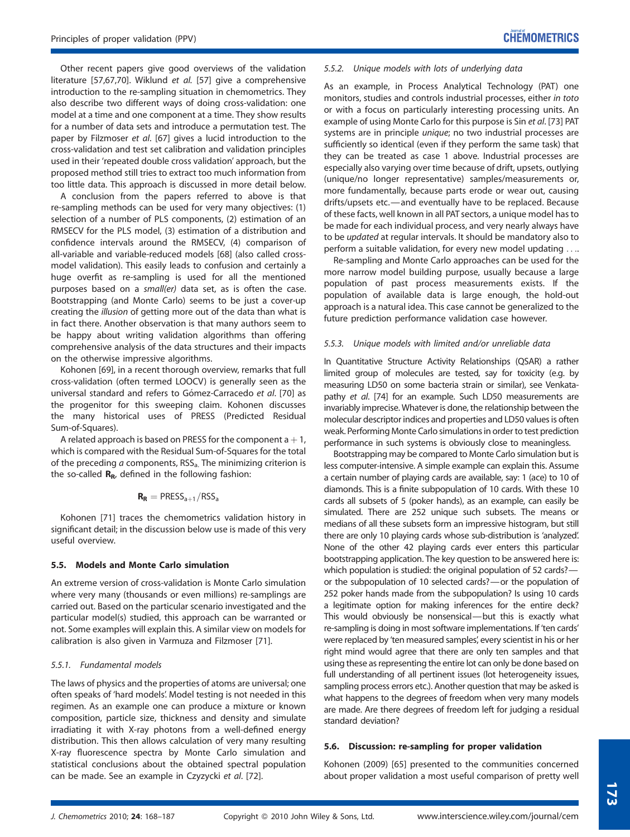Other recent papers give good overviews of the validation literature [57,67,70]. Wiklund et al. [57] give a comprehensive introduction to the re-sampling situation in chemometrics. They also describe two different ways of doing cross-validation: one model at a time and one component at a time. They show results for a number of data sets and introduce a permutation test. The paper by Filzmoser et al. [67] gives a lucid introduction to the cross-validation and test set calibration and validation principles used in their 'repeated double cross validation' approach, but the proposed method still tries to extract too much information from too little data. This approach is discussed in more detail below.

A conclusion from the papers referred to above is that re-sampling methods can be used for very many objectives: (1) selection of a number of PLS components, (2) estimation of an RMSECV for the PLS model, (3) estimation of a distribution and confidence intervals around the RMSECV, (4) comparison of all-variable and variable-reduced models [68] (also called crossmodel validation). This easily leads to confusion and certainly a huge overfit as re-sampling is used for all the mentioned purposes based on a small(er) data set, as is often the case. Bootstrapping (and Monte Carlo) seems to be just a cover-up creating the illusion of getting more out of the data than what is in fact there. Another observation is that many authors seem to be happy about writing validation algorithms than offering comprehensive analysis of the data structures and their impacts on the otherwise impressive algorithms.

Kohonen [69], in a recent thorough overview, remarks that full cross-validation (often termed LOOCV) is generally seen as the universal standard and refers to Gómez-Carracedo et al. [70] as the progenitor for this sweeping claim. Kohonen discusses the many historical uses of PRESS (Predicted Residual Sum-of-Squares).

A related approach is based on PRESS for the component  $a + 1$ , which is compared with the Residual Sum-of-Squares for the total of the preceding a components,  $RSS<sub>a</sub>$ . The minimizing criterion is the so-called  $\mathbf{R}_{\text{R}}$ , defined in the following fashion:

#### $R_R = PRESS_{a+1}/RSS_a$

Kohonen [71] traces the chemometrics validation history in significant detail; in the discussion below use is made of this very useful overview.

#### 5.5. Models and Monte Carlo simulation

An extreme version of cross-validation is Monte Carlo simulation where very many (thousands or even millions) re-samplings are carried out. Based on the particular scenario investigated and the particular model(s) studied, this approach can be warranted or not. Some examples will explain this. A similar view on models for calibration is also given in Varmuza and Filzmoser [71].

#### 5.5.1. Fundamental models

The laws of physics and the properties of atoms are universal; one often speaks of 'hard models'. Model testing is not needed in this regimen. As an example one can produce a mixture or known composition, particle size, thickness and density and simulate irradiating it with X-ray photons from a well-defined energy distribution. This then allows calculation of very many resulting X-ray fluorescence spectra by Monte Carlo simulation and statistical conclusions about the obtained spectral population can be made. See an example in Czyzycki et al. [72].

#### 5.5.2. Unique models with lots of underlying data

As an example, in Process Analytical Technology (PAT) one monitors, studies and controls industrial processes, either in toto or with a focus on particularly interesting processing units. An example of using Monte Carlo for this purpose is Sin et al. [73] PAT systems are in principle unique; no two industrial processes are sufficiently so identical (even if they perform the same task) that they can be treated as case 1 above. Industrial processes are especially also varying over time because of drift, upsets, outlying (unique/no longer representative) samples/measurements or, more fundamentally, because parts erode or wear out, causing drifts/upsets etc.—and eventually have to be replaced. Because of these facts, well known in all PAT sectors, a unique model has to be made for each individual process, and very nearly always have to be updated at regular intervals. It should be mandatory also to perform a suitable validation, for every new model updating ....

Re-sampling and Monte Carlo approaches can be used for the more narrow model building purpose, usually because a large population of past process measurements exists. If the population of available data is large enough, the hold-out approach is a natural idea. This case cannot be generalized to the future prediction performance validation case however.

#### 5.5.3. Unique models with limited and/or unreliable data

In Quantitative Structure Activity Relationships (QSAR) a rather limited group of molecules are tested, say for toxicity (e.g. by measuring LD50 on some bacteria strain or similar), see Venkatapathy et al. [74] for an example. Such LD50 measurements are invariably imprecise. Whatever is done, the relationship between the molecular descriptor indices and properties and LD50 values is often weak. Performing Monte Carlo simulations in order to test prediction performance in such systems is obviously close to meaningless.

Bootstrapping may be compared to Monte Carlo simulation but is less computer-intensive. A simple example can explain this. Assume a certain number of playing cards are available, say: 1 (ace) to 10 of diamonds. This is a finite subpopulation of 10 cards. With these 10 cards all subsets of 5 (poker hands), as an example, can easily be simulated. There are 252 unique such subsets. The means or medians of all these subsets form an impressive histogram, but still there are only 10 playing cards whose sub-distribution is 'analyzed'. None of the other 42 playing cards ever enters this particular bootstrapping application. The key question to be answered here is: which population is studied: the original population of 52 cards?or the subpopulation of 10 selected cards?—or the population of 252 poker hands made from the subpopulation? Is using 10 cards a legitimate option for making inferences for the entire deck? This would obviously be nonsensical—but this is exactly what re-sampling is doing in most software implementations. If 'ten cards' were replaced by 'ten measured samples', every scientist in his or her right mind would agree that there are only ten samples and that using these as representing the entire lot can only be done based on full understanding of all pertinent issues (lot heterogeneity issues, sampling process errors etc.). Another question that may be asked is what happens to the degrees of freedom when very many models are made. Are there degrees of freedom left for judging a residual standard deviation?

#### 5.6. Discussion: re-sampling for proper validation

Kohonen (2009) [65] presented to the communities concerned about proper validation a most useful comparison of pretty well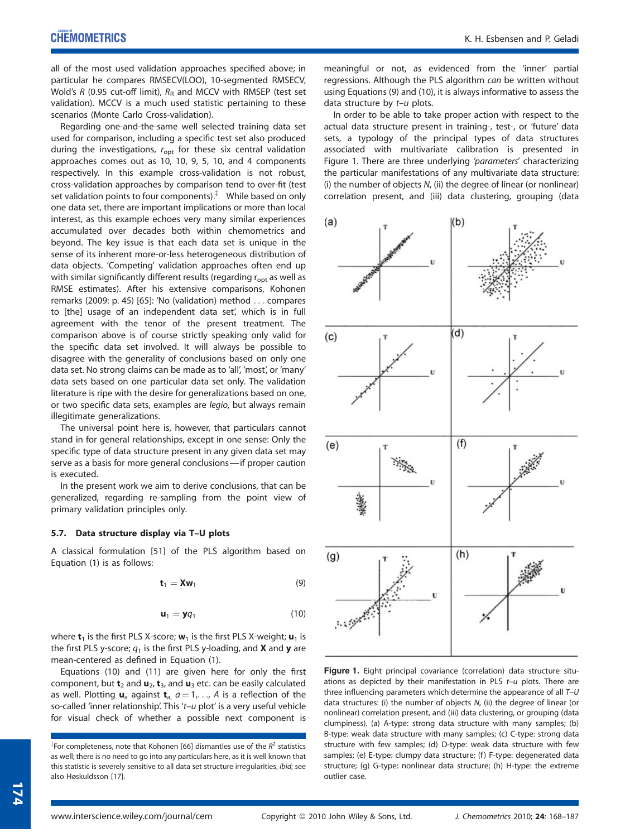all of the most used validation approaches specified above; in particular he compares RMSECV(LOO), 10-segmented RMSECV, Wold's R (0.95 cut-off limit),  $R_R$  and MCCV with RMSEP (test set validation). MCCV is a much used statistic pertaining to these scenarios (Monte Carlo Cross-validation).

Regarding one-and-the-same well selected training data set used for comparison, including a specific test set also produced during the investigations,  $r_{\rm opt}$  for these six central validation approaches comes out as 10, 10, 9, 5, 10, and 4 components respectively. In this example cross-validation is not robust, cross-validation approaches by comparison tend to over-fit (test set validation points to four components). $\frac{1}{x}$  While based on only one data set, there are important implications or more than local interest, as this example echoes very many similar experiences accumulated over decades both within chemometrics and beyond. The key issue is that each data set is unique in the sense of its inherent more-or-less heterogeneous distribution of data objects. 'Competing' validation approaches often end up with similar significantly different results (regarding  $r_{\text{opt}}$  as well as RMSE estimates). After his extensive comparisons, Kohonen remarks (2009: p. 45) [65]: 'No (validation) method ... compares to [the] usage of an independent data set', which is in full agreement with the tenor of the present treatment. The comparison above is of course strictly speaking only valid for the specific data set involved. It will always be possible to disagree with the generality of conclusions based on only one data set. No strong claims can be made as to 'all', 'most', or 'many' data sets based on one particular data set only. The validation literature is ripe with the desire for generalizations based on one, or two specific data sets, examples are legio, but always remain illegitimate generalizations.

The universal point here is, however, that particulars cannot stand in for general relationships, except in one sense: Only the specific type of data structure present in any given data set may serve as a basis for more general conclusions—if proper caution is executed.

In the present work we aim to derive conclusions, that can be generalized, regarding re-sampling from the point view of primary validation principles only.

#### 5.7. Data structure display via T–U plots

A classical formulation [51] of the PLS algorithm based on Equation (1) is as follows:

$$
\mathbf{t}_1 = \mathbf{X}\mathbf{w}_1 \tag{9}
$$

$$
\mathbf{u}_1 = \mathbf{y}q_1 \tag{10}
$$

where  $t_1$  is the first PLS X-score;  $w_1$  is the first PLS X-weight;  $u_1$  is the first PLS y-score;  $q_1$  is the first PLS y-loading, and **X** and **y** are mean-centered as defined in Equation (1).

Equations (10) and (11) are given here for only the first component, but  $t_2$  and  $u_2$ ,  $t_3$ , and  $u_3$  etc. can be easily calculated as well. Plotting  $\mathbf{u}_a$  against  $\mathbf{t}_a$ ,  $a = 1, \ldots, A$  is a reflection of the so-called 'inner relationship'. This 't–u plot' is a very useful vehicle for visual check of whether a possible next component is

 $^{\ddagger}$ For completeness, note that Kohonen [66] dismantles use of the  $R^2$  statistics as well; there is no need to go into any particulars here, as it is well known that this statistic is severely sensitive to all data set structure irregularities, ibid; see also Høskuldsson [17].

meaningful or not, as evidenced from the 'inner' partial regressions. Although the PLS algorithm can be written without using Equations (9) and (10), it is always informative to assess the data structure by  $t-u$  plots.

In order to be able to take proper action with respect to the actual data structure present in training-, test-, or 'future' data sets, a typology of the principal types of data structures associated with multivariate calibration is presented in Figure 1. There are three underlying 'parameters' characterizing the particular manifestations of any multivariate data structure: (i) the number of objects N, (ii) the degree of linear (or nonlinear) correlation present, and (iii) data clustering, grouping (data



Figure 1. Eight principal covariance (correlation) data structure situations as depicted by their manifestation in PLS  $t-u$  plots. There are three influencing parameters which determine the appearance of all T–U data structures: (i) the number of objects N, (ii) the degree of linear (or nonlinear) correlation present, and (iii) data clustering, or grouping (data clumpiness). (a) A-type: strong data structure with many samples; (b) B-type: weak data structure with many samples; (c) C-type: strong data structure with few samples; (d) D-type: weak data structure with few samples; (e) E-type: clumpy data structure; (f) F-type: degenerated data structure; (g) G-type: nonlinear data structure; (h) H-type: the extreme outlier case.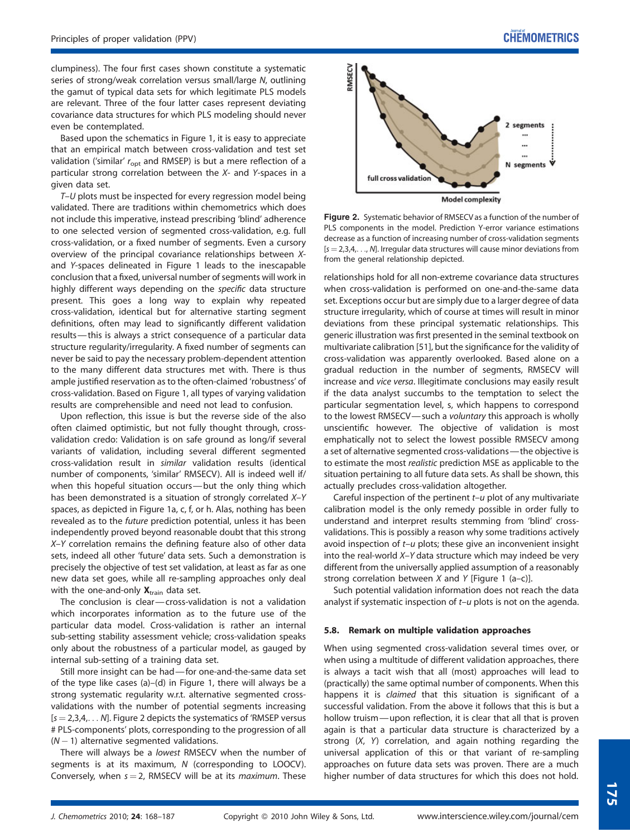clumpiness). The four first cases shown constitute a systematic series of strong/weak correlation versus small/large N, outlining the gamut of typical data sets for which legitimate PLS models are relevant. Three of the four latter cases represent deviating covariance data structures for which PLS modeling should never even be contemplated.

Based upon the schematics in Figure 1, it is easy to appreciate that an empirical match between cross-validation and test set validation ('similar'  $r_{\text{oot}}$  and RMSEP) is but a mere reflection of a particular strong correlation between the X- and Y-spaces in a given data set.

T–U plots must be inspected for every regression model being validated. There are traditions within chemometrics which does not include this imperative, instead prescribing 'blind' adherence to one selected version of segmented cross-validation, e.g. full cross-validation, or a fixed number of segments. Even a cursory overview of the principal covariance relationships between Xand Y-spaces delineated in Figure 1 leads to the inescapable conclusion that a fixed, universal number of segments will work in highly different ways depending on the specific data structure present. This goes a long way to explain why repeated cross-validation, identical but for alternative starting segment definitions, often may lead to significantly different validation results— this is always a strict consequence of a particular data structure regularity/irregularity. A fixed number of segments can never be said to pay the necessary problem-dependent attention to the many different data structures met with. There is thus ample justified reservation as to the often-claimed 'robustness' of cross-validation. Based on Figure 1, all types of varying validation results are comprehensible and need not lead to confusion.

Upon reflection, this issue is but the reverse side of the also often claimed optimistic, but not fully thought through, crossvalidation credo: Validation is on safe ground as long/if several variants of validation, including several different segmented cross-validation result in similar validation results (identical number of components, 'similar' RMSECV). All is indeed well if/ when this hopeful situation occurs—but the only thing which has been demonstrated is a situation of strongly correlated X-Y spaces, as depicted in Figure 1a, c, f, or h. Alas, nothing has been revealed as to the future prediction potential, unless it has been independently proved beyond reasonable doubt that this strong X–Y correlation remains the defining feature also of other data sets, indeed all other 'future' data sets. Such a demonstration is precisely the objective of test set validation, at least as far as one new data set goes, while all re-sampling approaches only deal with the one-and-only  $\mathbf{X}_{\text{train}}$  data set.

The conclusion is clear—cross-validation is not a validation which incorporates information as to the future use of the particular data model. Cross-validation is rather an internal sub-setting stability assessment vehicle; cross-validation speaks only about the robustness of a particular model, as gauged by internal sub-setting of a training data set.

Still more insight can be had—for one-and-the-same data set of the type like cases (a)–(d) in Figure 1, there will always be a strong systematic regularity w.r.t. alternative segmented crossvalidations with the number of potential segments increasing  $[s = 2,3,4,... N]$ . Figure 2 depicts the systematics of 'RMSEP versus # PLS-components' plots, corresponding to the progression of all  $(N-1)$  alternative segmented validations.

There will always be a lowest RMSECV when the number of segments is at its maximum, N (corresponding to LOOCV). Conversely, when  $s = 2$ , RMSECV will be at its *maximum*. These



Figure 2. Systematic behavior of RMSECV as a function of the number of PLS components in the model. Prediction Y-error variance estimations decrease as a function of increasing number of cross-validation segments  $[s = 2,3,4,..., N]$ . Irregular data structures will cause minor deviations from from the general relationship depicted.

relationships hold for all non-extreme covariance data structures when cross-validation is performed on one-and-the-same data set. Exceptions occur but are simply due to a larger degree of data structure irregularity, which of course at times will result in minor deviations from these principal systematic relationships. This generic illustration was first presented in the seminal textbook on multivariate calibration [51], but the significance for the validity of cross-validation was apparently overlooked. Based alone on a gradual reduction in the number of segments, RMSECV will increase and vice versa. Illegitimate conclusions may easily result if the data analyst succumbs to the temptation to select the particular segmentation level, s, which happens to correspond to the lowest RMSECV—such a voluntary this approach is wholly unscientific however. The objective of validation is most emphatically not to select the lowest possible RMSECV among a set of alternative segmented cross-validations— the objective is to estimate the most realistic prediction MSE as applicable to the situation pertaining to all future data sets. As shall be shown, this actually precludes cross-validation altogether.

Careful inspection of the pertinent  $t-u$  plot of any multivariate calibration model is the only remedy possible in order fully to understand and interpret results stemming from 'blind' crossvalidations. This is possibly a reason why some traditions actively avoid inspection of t–u plots; these give an inconvenient insight into the real-world X–Y data structure which may indeed be very different from the universally applied assumption of a reasonably strong correlation between  $X$  and  $Y$  [Figure 1 (a–c)].

Such potential validation information does not reach the data analyst if systematic inspection of t–u plots is not on the agenda.

#### 5.8. Remark on multiple validation approaches

When using segmented cross-validation several times over, or when using a multitude of different validation approaches, there is always a tacit wish that all (most) approaches will lead to (practically) the same optimal number of components. When this happens it is *claimed* that this situation is significant of a successful validation. From the above it follows that this is but a hollow truism—upon reflection, it is clear that all that is proven again is that a particular data structure is characterized by a strong (X, Y) correlation, and again nothing regarding the universal application of this or that variant of re-sampling approaches on future data sets was proven. There are a much higher number of data structures for which this does not hold.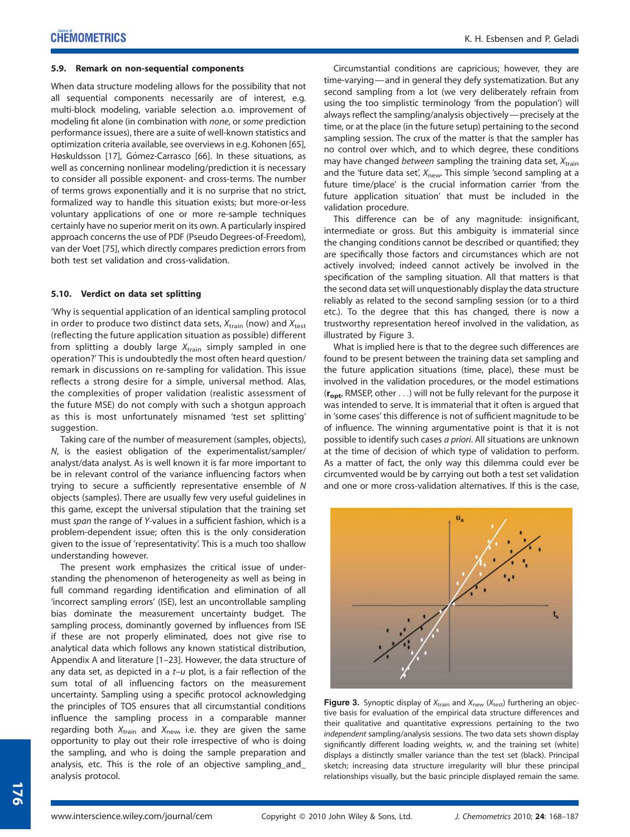#### 5.9. Remark on non-sequential components

When data structure modeling allows for the possibility that not all sequential components necessarily are of interest, e.g. multi-block modeling, variable selection a.o. improvement of modeling fit alone (in combination with none, or some prediction performance issues), there are a suite of well-known statistics and optimization criteria available, see overviews in e.g. Kohonen [65], Høskuldsson [17], Gómez-Carrasco [66]. In these situations, as well as concerning nonlinear modeling/prediction it is necessary to consider all possible exponent- and cross-terms. The number of terms grows exponentially and it is no surprise that no strict, formalized way to handle this situation exists; but more-or-less voluntary applications of one or more re-sample techniques certainly have no superior merit on its own. A particularly inspired approach concerns the use of PDF (Pseudo Degrees-of-Freedom), van der Voet [75], which directly compares prediction errors from both test set validation and cross-validation.

#### 5.10. Verdict on data set splitting

'Why is sequential application of an identical sampling protocol in order to produce two distinct data sets,  $X_{\text{train}}$  (now) and  $X_{\text{test}}$ (reflecting the future application situation as possible) different from splitting a doubly large  $X_{\text{train}}$  simply sampled in one operation?' This is undoubtedly the most often heard question/ remark in discussions on re-sampling for validation. This issue reflects a strong desire for a simple, universal method. Alas, the complexities of proper validation (realistic assessment of the future MSE) do not comply with such a shotgun approach as this is most unfortunately misnamed 'test set splitting' suggestion.

Taking care of the number of measurement (samples, objects), N, is the easiest obligation of the experimentalist/sampler/ analyst/data analyst. As is well known it is far more important to be in relevant control of the variance influencing factors when trying to secure a sufficiently representative ensemble of N objects (samples). There are usually few very useful guidelines in this game, except the universal stipulation that the training set must span the range of Y-values in a sufficient fashion, which is a problem-dependent issue; often this is the only consideration given to the issue of 'representativity'. This is a much too shallow understanding however.

The present work emphasizes the critical issue of understanding the phenomenon of heterogeneity as well as being in full command regarding identification and elimination of all 'incorrect sampling errors' (ISE), lest an uncontrollable sampling bias dominate the measurement uncertainty budget. The sampling process, dominantly governed by influences from ISE if these are not properly eliminated, does not give rise to analytical data which follows any known statistical distribution, Appendix A and literature [1–23]. However, the data structure of any data set, as depicted in a  $t-u$  plot, is a fair reflection of the sum total of all influencing factors on the measurement uncertainty. Sampling using a specific protocol acknowledging the principles of TOS ensures that all circumstantial conditions influence the sampling process in a comparable manner regarding both  $X_{\text{train}}$  and  $X_{\text{new}}$  i.e. they are given the same opportunity to play out their role irrespective of who is doing the sampling, and who is doing the sample preparation and analysis, etc. This is the role of an objective sampling and analysis protocol.

Circumstantial conditions are capricious; however, they are time-varying—and in general they defy systematization. But any second sampling from a lot (we very deliberately refrain from using the too simplistic terminology 'from the population') will always reflect the sampling/analysis objectively—precisely at the time, or at the place (in the future setup) pertaining to the second sampling session. The crux of the matter is that the sampler has no control over which, and to which degree, these conditions may have changed *between* sampling the training data set,  $X_{train}$ and the 'future data set',  $X_{\text{new}}$ . This simple 'second sampling at a future time/place' is the crucial information carrier 'from the future application situation' that must be included in the validation procedure.

This difference can be of any magnitude: insignificant, intermediate or gross. But this ambiguity is immaterial since the changing conditions cannot be described or quantified; they are specifically those factors and circumstances which are not actively involved; indeed cannot actively be involved in the specification of the sampling situation. All that matters is that the second data set will unquestionably display the data structure reliably as related to the second sampling session (or to a third etc.). To the degree that this has changed, there is now a trustworthy representation hereof involved in the validation, as illustrated by Figure 3.

What is implied here is that to the degree such differences are found to be present between the training data set sampling and the future application situations (time, place), these must be involved in the validation procedures, or the model estimations  $(r_{\text{opt}}$ , RMSEP, other  $\dots$ ) will not be fully relevant for the purpose it was intended to serve. It is immaterial that it often is argued that in 'some cases' this difference is not of sufficient magnitude to be of influence. The winning argumentative point is that it is not possible to identify such cases a priori. All situations are unknown at the time of decision of which type of validation to perform. As a matter of fact, the only way this dilemma could ever be circumvented would be by carrying out both a test set validation and one or more cross-validation alternatives. If this is the case,



**Figure 3.** Synoptic display of  $X_{\text{train}}$  and  $X_{\text{new}}$  ( $X_{\text{test}}$ ) furthering an objective basis for evaluation of the empirical data structure differences and their qualitative and quantitative expressions pertaining to the two independent sampling/analysis sessions. The two data sets shown display significantly different loading weights, w, and the training set (white) displays a distinctly smaller variance than the test set (black). Principal sketch; increasing data structure irregularity will blur these principal relationships visually, but the basic principle displayed remain the same.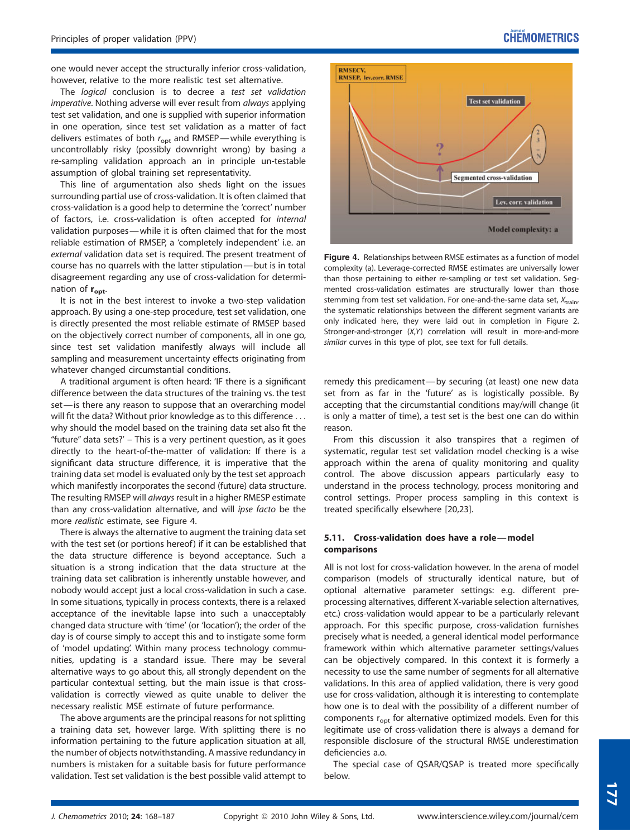one would never accept the structurally inferior cross-validation, however, relative to the more realistic test set alternative.

The logical conclusion is to decree a test set validation imperative. Nothing adverse will ever result from always applying test set validation, and one is supplied with superior information in one operation, since test set validation as a matter of fact delivers estimates of both  $r_{opt}$  and RMSEP—while everything is uncontrollably risky (possibly downright wrong) by basing a re-sampling validation approach an in principle un-testable assumption of global training set representativity.

This line of argumentation also sheds light on the issues surrounding partial use of cross-validation. It is often claimed that cross-validation is a good help to determine the 'correct' number of factors, i.e. cross-validation is often accepted for internal validation purposes—while it is often claimed that for the most reliable estimation of RMSEP, a 'completely independent' i.e. an external validation data set is required. The present treatment of course has no quarrels with the latter stipulation—but is in total disagreement regarding any use of cross-validation for determination of  $r_{\rm opt}$ .

It is not in the best interest to invoke a two-step validation approach. By using a one-step procedure, test set validation, one is directly presented the most reliable estimate of RMSEP based on the objectively correct number of components, all in one go, since test set validation manifestly always will include all sampling and measurement uncertainty effects originating from whatever changed circumstantial conditions.

A traditional argument is often heard: 'IF there is a significant difference between the data structures of the training vs. the test set—is there any reason to suppose that an overarching model will fit the data? Without prior knowledge as to this difference ... why should the model based on the training data set also fit the ''future'' data sets?' – This is a very pertinent question, as it goes directly to the heart-of-the-matter of validation: If there is a significant data structure difference, it is imperative that the training data set model is evaluated only by the test set approach which manifestly incorporates the second (future) data structure. The resulting RMSEP will always result in a higher RMESP estimate than any cross-validation alternative, and will ipse facto be the more realistic estimate, see Figure 4.

There is always the alternative to augment the training data set with the test set (or portions hereof) if it can be established that the data structure difference is beyond acceptance. Such a situation is a strong indication that the data structure at the training data set calibration is inherently unstable however, and nobody would accept just a local cross-validation in such a case. In some situations, typically in process contexts, there is a relaxed acceptance of the inevitable lapse into such a unacceptably changed data structure with 'time' (or 'location'); the order of the day is of course simply to accept this and to instigate some form of 'model updating'. Within many process technology communities, updating is a standard issue. There may be several alternative ways to go about this, all strongly dependent on the particular contextual setting, but the main issue is that crossvalidation is correctly viewed as quite unable to deliver the necessary realistic MSE estimate of future performance.

The above arguments are the principal reasons for not splitting a training data set, however large. With splitting there is no information pertaining to the future application situation at all, the number of objects notwithstanding. A massive redundancy in numbers is mistaken for a suitable basis for future performance validation. Test set validation is the best possible valid attempt to

**RMSECV. RMSEP, lev.corr. RMSE Test set validation** Segmented cross-validation Lev. corr. validation Model complexity: a

Figure 4. Relationships between RMSE estimates as a function of model complexity (a). Leverage-corrected RMSE estimates are universally lower than those pertaining to either re-sampling or test set validation. Segmented cross-validation estimates are structurally lower than those stemming from test set validation. For one-and-the-same data set,  $X_{\text{train}}$ , the systematic relationships between the different segment variants are only indicated here, they were laid out in completion in Figure 2. Stronger-and-stronger (X,Y) correlation will result in more-and-more similar curves in this type of plot, see text for full details.

remedy this predicament—by securing (at least) one new data set from as far in the 'future' as is logistically possible. By accepting that the circumstantial conditions may/will change (it is only a matter of time), a test set is the best one can do within reason.

From this discussion it also transpires that a regimen of systematic, regular test set validation model checking is a wise approach within the arena of quality monitoring and quality control. The above discussion appears particularly easy to understand in the process technology, process monitoring and control settings. Proper process sampling in this context is treated specifically elsewhere [20,23].

#### 5.11. Cross-validation does have a role—model comparisons

All is not lost for cross-validation however. In the arena of model comparison (models of structurally identical nature, but of optional alternative parameter settings: e.g. different preprocessing alternatives, different X-variable selection alternatives, etc.) cross-validation would appear to be a particularly relevant approach. For this specific purpose, cross-validation furnishes precisely what is needed, a general identical model performance framework within which alternative parameter settings/values can be objectively compared. In this context it is formerly a necessity to use the same number of segments for all alternative validations. In this area of applied validation, there is very good use for cross-validation, although it is interesting to contemplate how one is to deal with the possibility of a different number of components  $r_{opt}$  for alternative optimized models. Even for this legitimate use of cross-validation there is always a demand for responsible disclosure of the structural RMSE underestimation deficiencies a.o.

The special case of QSAR/QSAP is treated more specifically below.

177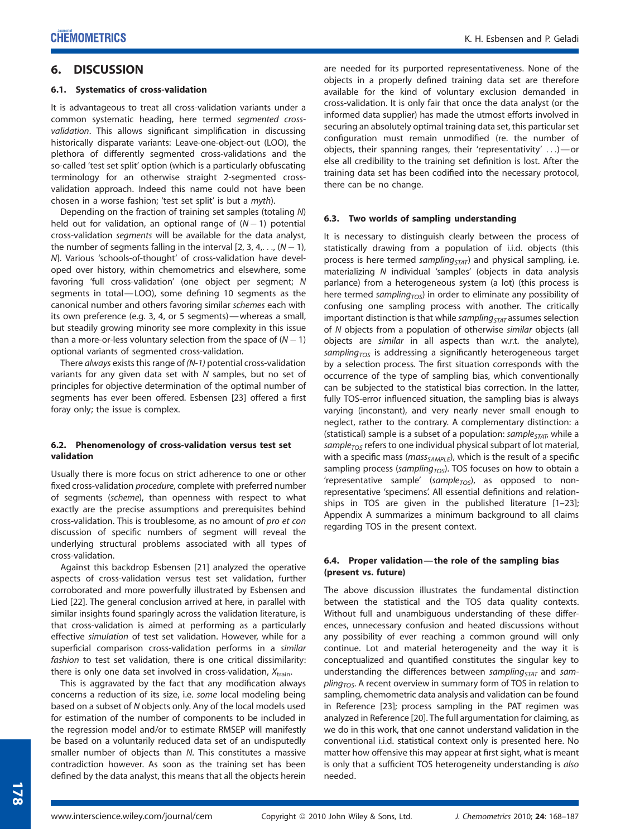## 6. DISCUSSION

#### 6.1. Systematics of cross-validation

It is advantageous to treat all cross-validation variants under a common systematic heading, here termed segmented crossvalidation. This allows significant simplification in discussing historically disparate variants: Leave-one-object-out (LOO), the plethora of differently segmented cross-validations and the so-called 'test set split' option (which is a particularly obfuscating terminology for an otherwise straight 2-segmented crossvalidation approach. Indeed this name could not have been chosen in a worse fashion; 'test set split' is but a myth).

Depending on the fraction of training set samples (totaling N) held out for validation, an optional range of  $(N-1)$  potential cross-validation segments will be available for the data analyst, the number of segments falling in the interval  $[2, 3, 4, \ldots, (N-1),$ N]. Various 'schools-of-thought' of cross-validation have developed over history, within chemometrics and elsewhere, some favoring 'full cross-validation' (one object per segment; N segments in total—LOO), some defining 10 segments as the canonical number and others favoring similar schemes each with its own preference (e.g. 3, 4, or 5 segments)—whereas a small, but steadily growing minority see more complexity in this issue than a more-or-less voluntary selection from the space of  $(N-1)$ optional variants of segmented cross-validation.

There always exists this range of (N-1) potential cross-validation variants for any given data set with N samples, but no set of principles for objective determination of the optimal number of segments has ever been offered. Esbensen [23] offered a first foray only; the issue is complex.

#### 6.2. Phenomenology of cross-validation versus test set validation

Usually there is more focus on strict adherence to one or other fixed cross-validation procedure, complete with preferred number of segments (scheme), than openness with respect to what exactly are the precise assumptions and prerequisites behind cross-validation. This is troublesome, as no amount of pro et con discussion of specific numbers of segment will reveal the underlying structural problems associated with all types of cross-validation.

Against this backdrop Esbensen [21] analyzed the operative aspects of cross-validation versus test set validation, further corroborated and more powerfully illustrated by Esbensen and Lied [22]. The general conclusion arrived at here, in parallel with similar insights found sparingly across the validation literature, is that cross-validation is aimed at performing as a particularly effective simulation of test set validation. However, while for a superficial comparison cross-validation performs in a similar fashion to test set validation, there is one critical dissimilarity: there is only one data set involved in cross-validation,  $X_{train}$ .

This is aggravated by the fact that any modification always concerns a reduction of its size, i.e. some local modeling being based on a subset of N objects only. Any of the local models used for estimation of the number of components to be included in the regression model and/or to estimate RMSEP will manifestly be based on a voluntarily reduced data set of an undisputedly smaller number of objects than N. This constitutes a massive contradiction however. As soon as the training set has been defined by the data analyst, this means that all the objects herein are needed for its purported representativeness. None of the objects in a properly defined training data set are therefore available for the kind of voluntary exclusion demanded in cross-validation. It is only fair that once the data analyst (or the informed data supplier) has made the utmost efforts involved in securing an absolutely optimal training data set, this particular set configuration must remain unmodified (re. the number of objects, their spanning ranges, their 'representativity' ...)—or else all credibility to the training set definition is lost. After the training data set has been codified into the necessary protocol, there can be no change.

#### 6.3. Two worlds of sampling understanding

It is necessary to distinguish clearly between the process of statistically drawing from a population of i.i.d. objects (this process is here termed sampling<sub>STAT</sub>) and physical sampling, i.e. materializing N individual 'samples' (objects in data analysis parlance) from a heterogeneous system (a lot) (this process is here termed sampling<sub>TOS</sub>) in order to eliminate any possibility of confusing one sampling process with another. The critically important distinction is that while sampling $_{STAT}$  assumes selection of N objects from a population of otherwise similar objects (all objects are similar in all aspects than w.r.t. the analyte), sampling $TOS$  is addressing a significantly heterogeneous target by a selection process. The first situation corresponds with the occurrence of the type of sampling bias, which conventionally can be subjected to the statistical bias correction. In the latter, fully TOS-error influenced situation, the sampling bias is always varying (inconstant), and very nearly never small enough to neglect, rather to the contrary. A complementary distinction: a (statistical) sample is a subset of a population:  $sample_{STAT}$  while a sample<sub>TOS</sub> refers to one individual physical subpart of lot material, with a specific mass ( $mass_{SAMPLE}$ ), which is the result of a specific sampling process (sampling<sub>TOS</sub>). TOS focuses on how to obtain a 'representative sample' (sample<sub>TOS</sub>), as opposed to nonrepresentative 'specimens'. All essential definitions and relationships in TOS are given in the published literature [1–23]; Appendix A summarizes a minimum background to all claims regarding TOS in the present context.

#### 6.4. Proper validation—the role of the sampling bias (present vs. future)

The above discussion illustrates the fundamental distinction between the statistical and the TOS data quality contexts. Without full and unambiguous understanding of these differences, unnecessary confusion and heated discussions without any possibility of ever reaching a common ground will only continue. Lot and material heterogeneity and the way it is conceptualized and quantified constitutes the singular key to understanding the differences between sampling  $\sigma_{\text{TAT}}$  and sam $pling<sub>TOS</sub>$ . A recent overview in summary form of TOS in relation to sampling, chemometric data analysis and validation can be found in Reference [23]; process sampling in the PAT regimen was analyzed in Reference [20]. The full argumentation for claiming, as we do in this work, that one cannot understand validation in the conventional i.i.d. statistical context only is presented here. No matter how offensive this may appear at first sight, what is meant is only that a sufficient TOS heterogeneity understanding is also needed.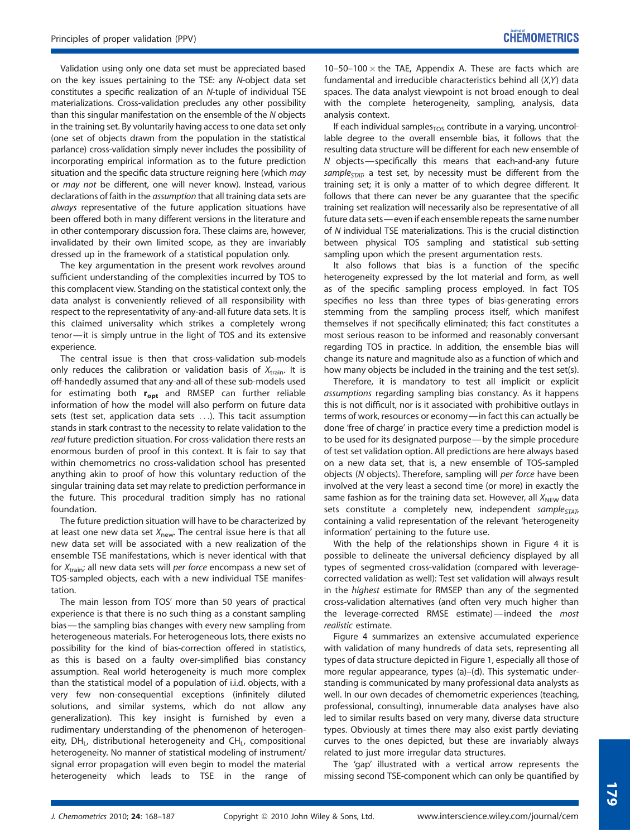Validation using only one data set must be appreciated based on the key issues pertaining to the TSE: any N-object data set constitutes a specific realization of an N-tuple of individual TSE materializations. Cross-validation precludes any other possibility than this singular manifestation on the ensemble of the N objects in the training set. By voluntarily having access to one data set only (one set of objects drawn from the population in the statistical parlance) cross-validation simply never includes the possibility of incorporating empirical information as to the future prediction situation and the specific data structure reigning here (which may or may not be different, one will never know). Instead, various declarations of faith in the assumption that all training data sets are always representative of the future application situations have been offered both in many different versions in the literature and in other contemporary discussion fora. These claims are, however, invalidated by their own limited scope, as they are invariably dressed up in the framework of a statistical population only.

The key argumentation in the present work revolves around sufficient understanding of the complexities incurred by TOS to this complacent view. Standing on the statistical context only, the data analyst is conveniently relieved of all responsibility with respect to the representativity of any-and-all future data sets. It is this claimed universality which strikes a completely wrong tenor—it is simply untrue in the light of TOS and its extensive experience.

The central issue is then that cross-validation sub-models only reduces the calibration or validation basis of  $X_{train}$ . It is off-handedly assumed that any-and-all of these sub-models used for estimating both  $r_{opt}$  and RMSEP can further reliable information of how the model will also perform on future data sets (test set, application data sets ...). This tacit assumption stands in stark contrast to the necessity to relate validation to the real future prediction situation. For cross-validation there rests an enormous burden of proof in this context. It is fair to say that within chemometrics no cross-validation school has presented anything akin to proof of how this voluntary reduction of the singular training data set may relate to prediction performance in the future. This procedural tradition simply has no rational foundation.

The future prediction situation will have to be characterized by at least one new data set  $X_{new}$ . The central issue here is that all new data set will be associated with a new realization of the ensemble TSE manifestations, which is never identical with that for  $X_{\text{train}}$ ; all new data sets will per force encompass a new set of TOS-sampled objects, each with a new individual TSE manifestation.

The main lesson from TOS' more than 50 years of practical experience is that there is no such thing as a constant sampling bias— the sampling bias changes with every new sampling from heterogeneous materials. For heterogeneous lots, there exists no possibility for the kind of bias-correction offered in statistics, as this is based on a faulty over-simplified bias constancy assumption. Real world heterogeneity is much more complex than the statistical model of a population of i.i.d. objects, with a very few non-consequential exceptions (infinitely diluted solutions, and similar systems, which do not allow any generalization). This key insight is furnished by even a rudimentary understanding of the phenomenon of heterogeneity,  $DH_L$ , distributional heterogeneity and  $CH_L$ , compositional heterogeneity. No manner of statistical modeling of instrument/ signal error propagation will even begin to model the material heterogeneity which leads to TSE in the range of 10–50–100  $\times$  the TAE, Appendix A. These are facts which are fundamental and irreducible characteristics behind all (X,Y) data spaces. The data analyst viewpoint is not broad enough to deal with the complete heterogeneity, sampling, analysis, data analysis context.

If each individual samples $_{TOS}$  contribute in a varying, uncontrollable degree to the overall ensemble bias, it follows that the resulting data structure will be different for each new ensemble of N objects—specifically this means that each-and-any future sample<sub>STAT</sub>, a test set, by necessity must be different from the training set; it is only a matter of to which degree different. It follows that there can never be any guarantee that the specific training set realization will necessarily also be representative of all future data sets—even if each ensemble repeats the same number of N individual TSE materializations. This is the crucial distinction between physical TOS sampling and statistical sub-setting sampling upon which the present argumentation rests.

It also follows that bias is a function of the specific heterogeneity expressed by the lot material and form, as well as of the specific sampling process employed. In fact TOS specifies no less than three types of bias-generating errors stemming from the sampling process itself, which manifest themselves if not specifically eliminated; this fact constitutes a most serious reason to be informed and reasonably conversant regarding TOS in practice. In addition, the ensemble bias will change its nature and magnitude also as a function of which and how many objects be included in the training and the test set(s).

Therefore, it is mandatory to test all implicit or explicit assumptions regarding sampling bias constancy. As it happens this is not difficult, nor is it associated with prohibitive outlays in terms of work, resources or economy—in fact this can actually be done 'free of charge' in practice every time a prediction model is to be used for its designated purpose—by the simple procedure of test set validation option. All predictions are here always based on a new data set, that is, a new ensemble of TOS-sampled objects (N objects). Therefore, sampling will per force have been involved at the very least a second time (or more) in exactly the same fashion as for the training data set. However, all  $X_{\text{NEW}}$  data sets constitute a completely new, independent sample<sub>STAT</sub>, containing a valid representation of the relevant 'heterogeneity information' pertaining to the future use.

With the help of the relationships shown in Figure 4 it is possible to delineate the universal deficiency displayed by all types of segmented cross-validation (compared with leveragecorrected validation as well): Test set validation will always result in the highest estimate for RMSEP than any of the segmented cross-validation alternatives (and often very much higher than the leverage-corrected RMSE estimate)—indeed the most realistic estimate.

Figure 4 summarizes an extensive accumulated experience with validation of many hundreds of data sets, representing all types of data structure depicted in Figure 1, especially all those of more regular appearance, types (a)–(d). This systematic understanding is communicated by many professional data analysts as well. In our own decades of chemometric experiences (teaching, professional, consulting), innumerable data analyses have also led to similar results based on very many, diverse data structure types. Obviously at times there may also exist partly deviating curves to the ones depicted, but these are invariably always related to just more irregular data structures.

The 'gap' illustrated with a vertical arrow represents the missing second TSE-component which can only be quantified by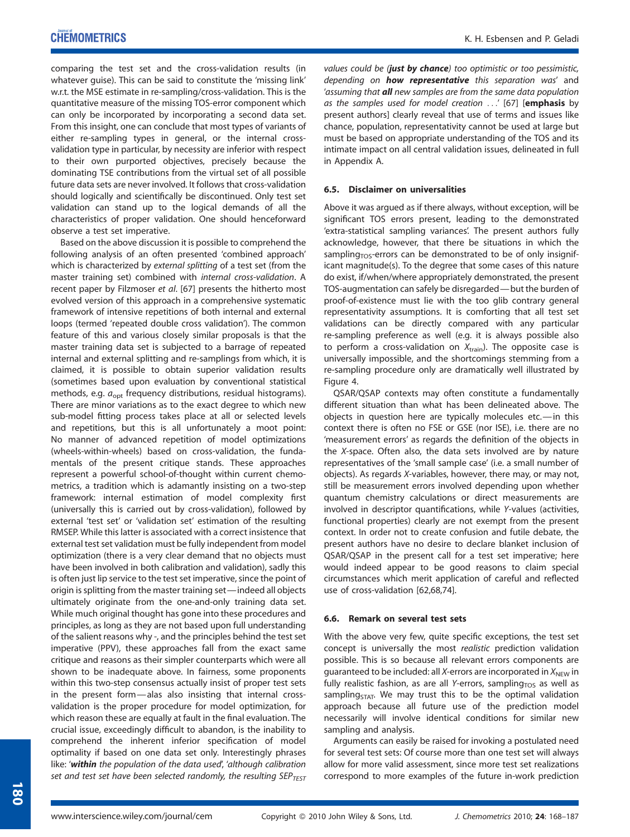comparing the test set and the cross-validation results (in whatever guise). This can be said to constitute the 'missing link' w.r.t. the MSE estimate in re-sampling/cross-validation. This is the quantitative measure of the missing TOS-error component which can only be incorporated by incorporating a second data set. From this insight, one can conclude that most types of variants of either re-sampling types in general, or the internal crossvalidation type in particular, by necessity are inferior with respect to their own purported objectives, precisely because the dominating TSE contributions from the virtual set of all possible future data sets are never involved. It follows that cross-validation should logically and scientifically be discontinued. Only test set validation can stand up to the logical demands of all the characteristics of proper validation. One should henceforward observe a test set imperative.

Based on the above discussion it is possible to comprehend the following analysis of an often presented 'combined approach' which is characterized by external splitting of a test set (from the master training set) combined with internal cross-validation. A recent paper by Filzmoser et al. [67] presents the hitherto most evolved version of this approach in a comprehensive systematic framework of intensive repetitions of both internal and external loops (termed 'repeated double cross validation'). The common feature of this and various closely similar proposals is that the master training data set is subjected to a barrage of repeated internal and external splitting and re-samplings from which, it is claimed, it is possible to obtain superior validation results (sometimes based upon evaluation by conventional statistical methods, e.g.  $a_{\text{opt}}$  frequency distributions, residual histograms). There are minor variations as to the exact degree to which new sub-model fitting process takes place at all or selected levels and repetitions, but this is all unfortunately a moot point: No manner of advanced repetition of model optimizations (wheels-within-wheels) based on cross-validation, the fundamentals of the present critique stands. These approaches represent a powerful school-of-thought within current chemometrics, a tradition which is adamantly insisting on a two-step framework: internal estimation of model complexity first (universally this is carried out by cross-validation), followed by external 'test set' or 'validation set' estimation of the resulting RMSEP. While this latter is associated with a correct insistence that external test set validation must be fully independent from model optimization (there is a very clear demand that no objects must have been involved in both calibration and validation), sadly this is often just lip service to the test set imperative, since the point of origin is splitting from the master training set—indeed all objects ultimately originate from the one-and-only training data set. While much original thought has gone into these procedures and principles, as long as they are not based upon full understanding of the salient reasons why -, and the principles behind the test set imperative (PPV), these approaches fall from the exact same critique and reasons as their simpler counterparts which were all shown to be inadequate above. In fairness, some proponents within this two-step consensus actually insist of proper test sets in the present form—alas also insisting that internal crossvalidation is the proper procedure for model optimization, for which reason these are equally at fault in the final evaluation. The crucial issue, exceedingly difficult to abandon, is the inability to comprehend the inherent inferior specification of model optimality if based on one data set only. Interestingly phrases like: 'within the population of the data used', 'although calibration set and test set have been selected randomly, the resulting  $SEP_{TEST}$ 

values could be (just by chance) too optimistic or too pessimistic, depending on how representative this separation was' and 'assuming that **all** new samples are from the same data population as the samples used for model creation ...' [67] [emphasis by present authors] clearly reveal that use of terms and issues like chance, population, representativity cannot be used at large but must be based on appropriate understanding of the TOS and its intimate impact on all central validation issues, delineated in full in Appendix A.

#### 6.5. Disclaimer on universalities

Above it was argued as if there always, without exception, will be significant TOS errors present, leading to the demonstrated 'extra-statistical sampling variances'. The present authors fully acknowledge, however, that there be situations in which the sampling $TOS$ -errors can be demonstrated to be of only insignificant magnitude(s). To the degree that some cases of this nature do exist, if/when/where appropriately demonstrated, the present TOS-augmentation can safely be disregarded—but the burden of proof-of-existence must lie with the too glib contrary general representativity assumptions. It is comforting that all test set validations can be directly compared with any particular re-sampling preference as well (e.g. it is always possible also to perform a cross-validation on  $X_{\text{train}}$ ). The opposite case is universally impossible, and the shortcomings stemming from a re-sampling procedure only are dramatically well illustrated by Figure 4.

QSAR/QSAP contexts may often constitute a fundamentally different situation than what has been delineated above. The objects in question here are typically molecules etc.—in this context there is often no FSE or GSE (nor ISE), i.e. there are no 'measurement errors' as regards the definition of the objects in the X-space. Often also, the data sets involved are by nature representatives of the 'small sample case' (i.e. a small number of objects). As regards X-variables, however, there may, or may not, still be measurement errors involved depending upon whether quantum chemistry calculations or direct measurements are involved in descriptor quantifications, while Y-values (activities, functional properties) clearly are not exempt from the present context. In order not to create confusion and futile debate, the present authors have no desire to declare blanket inclusion of QSAR/QSAP in the present call for a test set imperative; here would indeed appear to be good reasons to claim special circumstances which merit application of careful and reflected use of cross-validation [62,68,74].

#### 6.6. Remark on several test sets

With the above very few, quite specific exceptions, the test set concept is universally the most realistic prediction validation possible. This is so because all relevant errors components are guaranteed to be included: all X-errors are incorporated in  $X_{\text{NFW}}$  in fully realistic fashion, as are all Y-errors, sampling $_{TOS}$  as well as sampling<sub>STAT</sub>. We may trust this to be the optimal validation approach because all future use of the prediction model necessarily will involve identical conditions for similar new sampling and analysis.

Arguments can easily be raised for invoking a postulated need for several test sets: Of course more than one test set will always allow for more valid assessment, since more test set realizations correspond to more examples of the future in-work prediction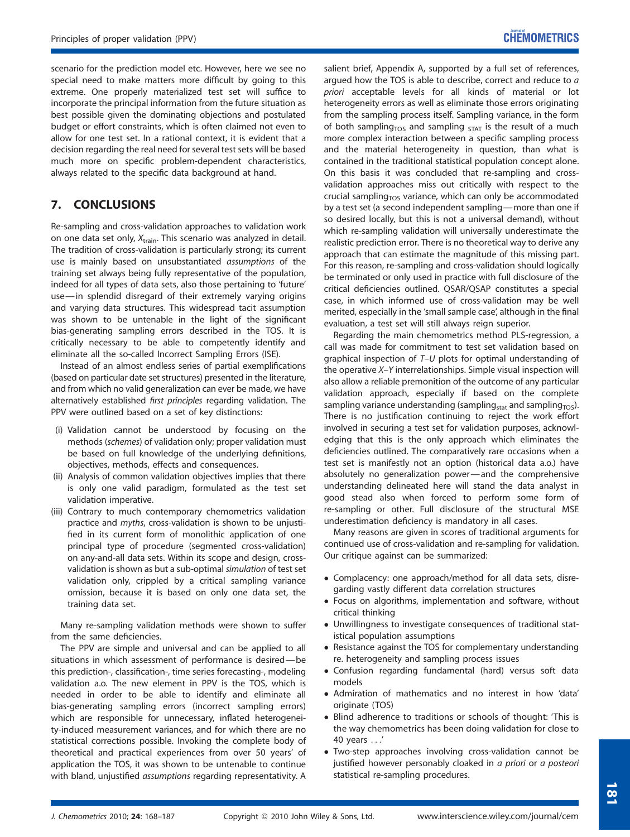scenario for the prediction model etc. However, here we see no special need to make matters more difficult by going to this extreme. One properly materialized test set will suffice to incorporate the principal information from the future situation as best possible given the dominating objections and postulated budget or effort constraints, which is often claimed not even to allow for one test set. In a rational context, it is evident that a decision regarding the real need for several test sets will be based much more on specific problem-dependent characteristics, always related to the specific data background at hand.

## 7. CONCLUSIONS

Re-sampling and cross-validation approaches to validation work on one data set only,  $X_{\text{train}}$ . This scenario was analyzed in detail. The tradition of cross-validation is particularly strong; its current use is mainly based on unsubstantiated assumptions of the training set always being fully representative of the population, indeed for all types of data sets, also those pertaining to 'future' use—in splendid disregard of their extremely varying origins and varying data structures. This widespread tacit assumption was shown to be untenable in the light of the significant bias-generating sampling errors described in the TOS. It is critically necessary to be able to competently identify and eliminate all the so-called Incorrect Sampling Errors (ISE).

Instead of an almost endless series of partial exemplifications (based on particular date set structures) presented in the literature, and from which no valid generalization can ever be made, we have alternatively established first principles regarding validation. The PPV were outlined based on a set of key distinctions:

- (i) Validation cannot be understood by focusing on the methods (schemes) of validation only; proper validation must be based on full knowledge of the underlying definitions, objectives, methods, effects and consequences.
- (ii) Analysis of common validation objectives implies that there is only one valid paradigm, formulated as the test set validation imperative.
- (iii) Contrary to much contemporary chemometrics validation practice and myths, cross-validation is shown to be unjustified in its current form of monolithic application of one principal type of procedure (segmented cross-validation) on any-and-all data sets. Within its scope and design, crossvalidation is shown as but a sub-optimal simulation of test set validation only, crippled by a critical sampling variance omission, because it is based on only one data set, the training data set.

Many re-sampling validation methods were shown to suffer from the same deficiencies.

The PPV are simple and universal and can be applied to all situations in which assessment of performance is desired—be this prediction-, classification-, time series forecasting-, modeling validation a.o. The new element in PPV is the TOS, which is needed in order to be able to identify and eliminate all bias-generating sampling errors (incorrect sampling errors) which are responsible for unnecessary, inflated heterogeneity-induced measurement variances, and for which there are no statistical corrections possible. Invoking the complete body of theoretical and practical experiences from over 50 years' of application the TOS, it was shown to be untenable to continue with bland, unjustified assumptions regarding representativity. A salient brief, Appendix A, supported by a full set of references, argued how the TOS is able to describe, correct and reduce to a priori acceptable levels for all kinds of material or lot heterogeneity errors as well as eliminate those errors originating from the sampling process itself. Sampling variance, in the form of both sampling<sub>TOS</sub> and sampling  $_{\text{STAT}}$  is the result of a much more complex interaction between a specific sampling process and the material heterogeneity in question, than what is contained in the traditional statistical population concept alone. On this basis it was concluded that re-sampling and crossvalidation approaches miss out critically with respect to the crucial sampling $_{TOS}$  variance, which can only be accommodated by a test set (a second independent sampling—more than one if so desired locally, but this is not a universal demand), without which re-sampling validation will universally underestimate the realistic prediction error. There is no theoretical way to derive any approach that can estimate the magnitude of this missing part. For this reason, re-sampling and cross-validation should logically be terminated or only used in practice with full disclosure of the critical deficiencies outlined. QSAR/QSAP constitutes a special case, in which informed use of cross-validation may be well merited, especially in the 'small sample case', although in the final evaluation, a test set will still always reign superior.

Regarding the main chemometrics method PLS-regression, a call was made for commitment to test set validation based on graphical inspection of T–U plots for optimal understanding of the operative X–Y interrelationships. Simple visual inspection will also allow a reliable premonition of the outcome of any particular validation approach, especially if based on the complete sampling variance understanding (sampling $_{\text{stat}}$  and sampling $_{\text{TOS}}$ ). There is no justification continuing to reject the work effort involved in securing a test set for validation purposes, acknowledging that this is the only approach which eliminates the deficiencies outlined. The comparatively rare occasions when a test set is manifestly not an option (historical data a.o.) have absolutely no generalization power—and the comprehensive understanding delineated here will stand the data analyst in good stead also when forced to perform some form of re-sampling or other. Full disclosure of the structural MSE underestimation deficiency is mandatory in all cases.

Many reasons are given in scores of traditional arguments for continued use of cross-validation and re-sampling for validation. Our critique against can be summarized:

- Complacency: one approach/method for all data sets, disregarding vastly different data correlation structures
- Focus on algorithms, implementation and software, without critical thinking
- Unwillingness to investigate consequences of traditional statistical population assumptions
- Resistance against the TOS for complementary understanding re. heterogeneity and sampling process issues
- Confusion regarding fundamental (hard) versus soft data models
- Admiration of mathematics and no interest in how 'data' originate (TOS)
- Blind adherence to traditions or schools of thought: 'This is the way chemometrics has been doing validation for close to 40 years ...'
- Two-step approaches involving cross-validation cannot be justified however personably cloaked in a priori or a posteori statistical re-sampling procedures.

 $\overline{81}$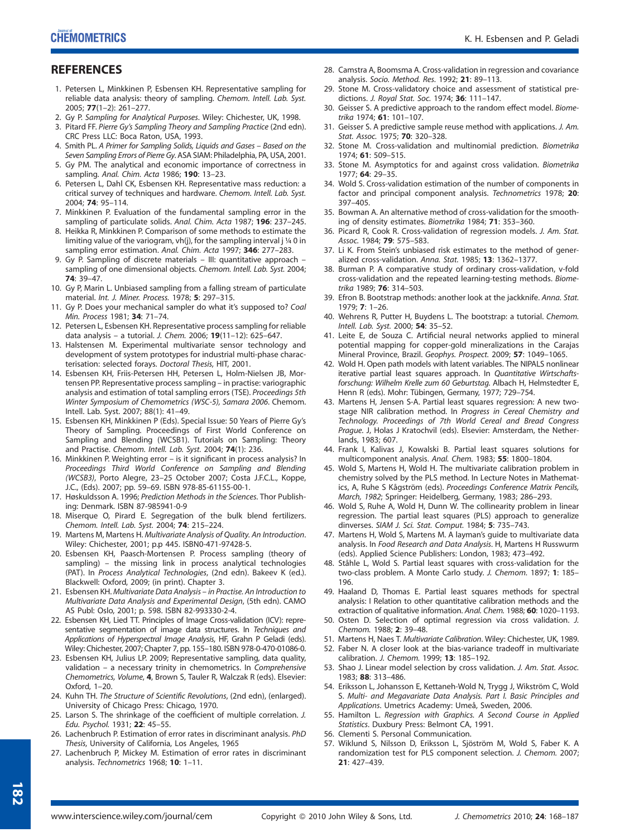## **REFERENCES**

- 1. Petersen L, Minkkinen P, Esbensen KH. Representative sampling for reliable data analysis: theory of sampling. Chemom. Intell. Lab. Syst. 2005; 77(1–2): 261–277.
- 2. Gy P. Sampling for Analytical Purposes. Wiley: Chichester, UK, 1998.
- 3. Pitard FF. Pierre Gy's Sampling Theory and Sampling Practice (2nd edn). CRC Press LLC: Boca Raton, USA, 1993.
- 4. Smith PL. A Primer for Sampling Solids, Liquids and Gases Based on the Seven Sampling Errors of Pierre Gy. ASA SIAM: Philadelphia, PA, USA, 2001.
- 5. Gy PM. The analytical and economic importance of correctness in sampling. Anal. Chim. Acta 1986; **190**: 13-23.
- 6. Petersen L, Dahl CK, Esbensen KH. Representative mass reduction: a critical survey of techniques and hardware. Chemom. Intell. Lab. Syst. 2004; 74: 95–114.
- 7. Minkkinen P. Evaluation of the fundamental sampling error in the sampling of particulate solids. Anal. Chim. Acta 1987; 196: 237-245.
- 8. Heikka R, Minkkinen P. Comparison of some methods to estimate the limiting value of the variogram, vh(j), for the sampling interval j ¼ 0 in sampling error estimation. Anal. Chim. Acta 1997; 346: 277-283.
- 9. Gy P. Sampling of discrete materials III: quantitative approach sampling of one dimensional objects. Chemom. Intell. Lab. Syst. 2004; 74: 39–47.
- 10. Gy P, Marin L. Unbiased sampling from a falling stream of particulate material. Int. J. Miner. Process. 1978; 5: 297–315.
- 11. Gy P. Does your mechanical sampler do what it's supposed to? Coal Min. Process 1981; 34: 71-74.
- 12. Petersen L, Esbensen KH. Representative process sampling for reliable data analysis – a tutorial. J. Chem. 2006; 19(11–12): 625–647.
- 13. Halstensen M. Experimental multivariate sensor technology and development of system prototypes for industrial multi-phase characterisation: selected forays. Doctoral Thesis, HIT, 2001.
- 14. Esbensen KH, Friis-Petersen HH, Petersen L, Holm-Nielsen JB, Mortensen PP. Representative process sampling – in practise: variographic analysis and estimation of total sampling errors (TSE). Proceedings 5th Winter Symposium of Chemometrics (WSC-5), Samara 2006. Chemom. Intell. Lab. Syst. 2007; 88(1): 41–49.
- 15. Esbensen KH, Minkkinen P (Eds). Special Issue: 50 Years of Pierre Gy's Theory of Sampling. Proceedings of First World Conference on Sampling and Blending (WCSB1). Tutorials on Sampling: Theory and Practise. Chemom. Intell. Lab. Syst. 2004; 74(1): 236.
- 16. Minkkinen P. Weighting error is it significant in process analysis? In Proceedings Third World Conference on Sampling and Blending (WCSB3), Porto Alegre, 23–25 October 2007; Costa J.F.C.L., Koppe, J.C., (Eds). 2007; pp. 59–69. ISBN 978-85-61155-00-1.
- 17. Høskuldsson A. 1996; Prediction Methods in the Sciences. Thor Publishing: Denmark. ISBN 87-985941-0-9
- 18. Miserque O, Pirard E. Segregation of the bulk blend fertilizers. Chemom. Intell. Lab. Syst. 2004; 74: 215–224.
- 19. Martens M, Martens H. Multivariate Analysis of Quality. An Introduction. Wiley: Chichester, 2001; p.p 445. ISBN0-471-97428-5.
- 20. Esbensen KH, Paasch-Mortensen P. Process sampling (theory of sampling) – the missing link in process analytical technologies (PAT). In Process Analytical Technologies, (2nd edn). Bakeev K (ed.). Blackwell: Oxford, 2009; (in print). Chapter 3.
- 21. Esbensen KH. Multivariate Data Analysis in Practise. An Introduction to Multivariate Data Analysis and Experimental Design, (5th edn). CAMO AS Publ: Oslo, 2001; p. 598. ISBN 82-993330-2-4.
- 22. Esbensen KH, Lied TT. Principles of Image Cross-validation (ICV): representative segmentation of image data structures. In Techniques and Applications of Hyperspectral Image Analysis, HF, Grahn P Geladi (eds). Wiley: Chichester, 2007; Chapter 7, pp. 155–180. ISBN 978-0-470-01086-0.
- 23. Esbensen KH, Julius LP. 2009; Representative sampling, data quality, validation – a necessary trinity in chemometrics. In Comprehensive Chemometrics, Volume, 4, Brown S, Tauler R, Walczak R (eds). Elsevier: Oxford, 1–20.
- 24. Kuhn TH. The Structure of Scientific Revolutions, (2nd edn), (enlarged). University of Chicago Press: Chicago, 1970.
- 25. Larson S. The shrinkage of the coefficient of multiple correlation. J. Edu. Psychol. 1931; 22: 45–55.
- 26. Lachenbruch P. Estimation of error rates in discriminant analysis. PhD Thesis, University of California, Los Angeles, 1965
- 27. Lachenbruch P, Mickey M. Estimation of error rates in discriminant analysis. Technometrics 1968; 10: 1–11.
- 28. Camstra A, Boomsma A. Cross-validation in regression and covariance analysis. Socio. Method. Res. 1992; 21: 89–113.
- 29. Stone M. Cross-validatory choice and assessment of statistical predictions. J. Royal Stat. Soc. 1974; 36: 111–147.
- 30. Geisser S. A predictive approach to the random effect model. Biometrika 1974; 61: 101–107.
- 31. Geisser S. A predictive sample reuse method with applications. J. Am. Stat. Assoc. 1975; 70: 320–328.
- 32. Stone M. Cross-validation and multinomial prediction. Biometrika 1974; 61: 509–515.
- 33. Stone M. Asymptotics for and against cross validation. Biometrika 1977; 64: 29–35.
- 34. Wold S. Cross-validation estimation of the number of components in factor and principal component analysis. Technometrics 1978; 20: 397–405.
- 35. Bowman A. An alternative method of cross-validation for the smoothing of density estimates. Biometrika 1984; 71: 353–360.
- 36. Picard R, Cook R. Cross-validation of regression models. J. Am. Stat. Assoc. 1984; 79: 575–583.
- 37. Li K. From Stein's unbiased risk estimates to the method of generalized cross-validation. Anna. Stat. 1985; 13: 1362–1377.
- 38. Burman P. A comparative study of ordinary cross-validation, v-fold cross-validation and the repeated learning-testing methods. Biometrika 1989; 76: 314–503.
- 39. Efron B. Bootstrap methods: another look at the jackknife. Anna. Stat. 1979; 7: 1–26.
- 40. Wehrens R, Putter H, Buydens L. The bootstrap: a tutorial. Chemom. Intell. Lab. Syst. 2000; 54: 35–52.
- 41. Leite E, de Souza C. Artificial neural networks applied to mineral potential mapping for copper-gold mineralizations in the Carajas Mineral Province, Brazil. Geophys. Prospect. 2009; 57: 1049–1065.
- 42. Wold H. Open path models with latent variables. The NIPALS nonlinear iterative partial least squares approach. In Quantitative Wirtschaftsforschung: Wilhelm Krelle zum 60 Geburtstag. Albach H, Helmstedter E, Henn R (eds). Mohr: Tübingen, Germany, 1977; 729–754.
- 43. Martens H, Jensen S-A. Partial least squares regression: A new twostage NIR calibration method. In Progress in Cereal Chemistry and Technology. Proceedings of 7th World Cereal and Bread Congress Prague. J, Holas J Kratochvil (eds). Elsevier: Amsterdam, the Netherlands, 1983; 607.
- 44. Frank I, Kalivas J, Kowalski B. Partial least squares solutions for multicomponent analysis. Anal. Chem. 1983; 55: 1800–1804.
- 45. Wold S, Martens H, Wold H. The multivariate calibration problem in chemistry solved by the PLS method. In Lecture Notes in Mathematics, A, Ruhe S Kågström (eds). Proceedings Conference Matrix Pencils, March, 1982; Springer: Heidelberg, Germany, 1983; 286–293.
- 46. Wold S, Ruhe A, Wold H, Dunn W. The collinearity problem in linear regression. The partial least squares (PLS) approach to generalize dinverses. SIAM J. Sci. Stat. Comput. 1984; 5: 735–743.
- 47. Martens H, Wold S, Martens M. A layman's guide to multivariate data analysis. In Food Research and Data Analysis. H, Martens H Russwurm (eds). Applied Science Publishers: London, 1983; 473–492.
- 48. Ståhle L, Wold S. Partial least squares with cross-validation for the two-class problem. A Monte Carlo study. J. Chemom. 1897; 1: 185– 196.
- 49. Haaland D, Thomas E. Partial least squares methods for spectral analysis: I Relation to other quantitative calibration methods and the extraction of qualitative information. Anal. Chem. 1988; 60: 1020–1193.
- 50. Osten D. Selection of optimal regression via cross validation. J. Chemom. 1988; 2: 39–48.
- 51. Martens H, Naes T. Multivariate Calibration. Wiley: Chichester, UK, 1989.
- 52. Faber N. A closer look at the bias-variance tradeoff in multivariate calibration. J. Chemom. 1999; 13: 185–192.
- 53. Shao J. Linear model selection by cross validation. J. Am. Stat. Assoc. 1983; 88: 313–486.
- 54. Eriksson L, Johansson E, Kettaneh-Wold N, Trygg J, Wikström C, Wold S. Multi- and Megavariate Data Analysis. Part I. Basic Principles and Applications. Umetrics Academy: Umeå, Sweden, 2006.
- 55. Hamilton L. Regression with Graphics. A Second Course in Applied Statistics. Duxbury Press: Belmont CA, 1991.
- 56. Clementi S. Personal Communication.
- 57. Wiklund S, Nilsson D, Eriksson L, Sjöström M, Wold S, Faber K. A randomization test for PLS component selection. J. Chemom. 2007; 21: 427–439.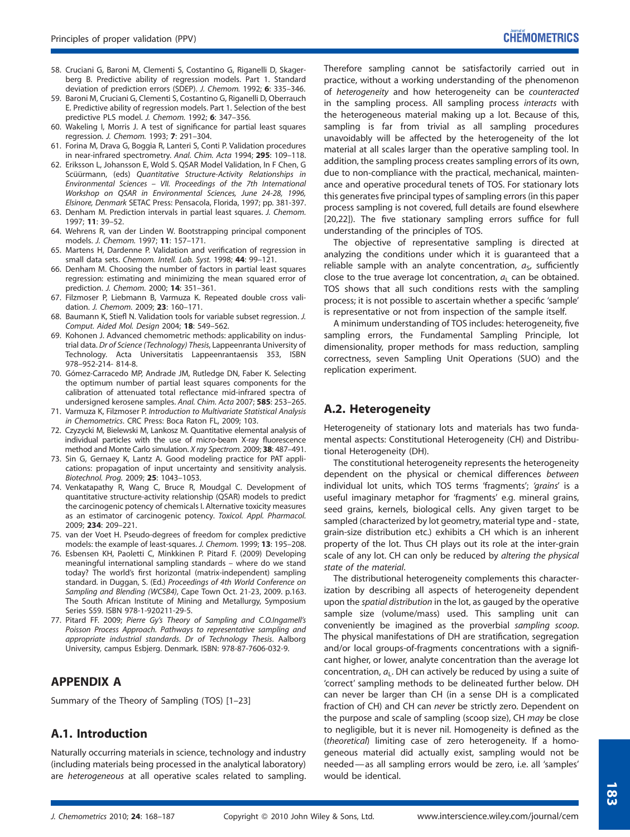- 58. Cruciani G, Baroni M, Clementi S, Costantino G, Riganelli D, Skagerberg B. Predictive ability of regression models. Part 1. Standard deviation of prediction errors (SDEP). J. Chemom. 1992; 6: 335–346.
- 59. Baroni M, Cruciani G, Clementi S, Costantino G, Riganelli D, Oberrauch E. Predictive ability of regression models. Part 1. Selection of the best predictive PLS model. J. Chemom. 1992; 6: 347–356.
- 60. Wakeling I, Morris J. A test of significance for partial least squares regression. J. Chemom. 1993; 7: 291–304.
- 61. Forina M, Drava G, Boggia R, Lanteri S, Conti P. Validation procedures in near-infrared spectrometry. Anal. Chim. Acta 1994; 295: 109-118.
- 62. Eriksson L, Johansson E, Wold S. QSAR Model Validation, In F Chen, G Scüürmann, (eds) Quantitative Structure-Activity Relationships in Environmental Sciences – VII. Proceedings of the 7th International Workshop on QSAR in Environmental Sciences, June 24-28, 1996, Elsinore, Denmark SETAC Press: Pensacola, Florida, 1997; pp. 381-397.
- 63. Denham M. Prediction intervals in partial least squares. J. Chemom. 1997; 11: 39–52.
- 64. Wehrens R, van der Linden W. Bootstrapping principal component models. J. Chemom. 1997; 11: 157–171.
- 65. Martens H, Dardenne P. Validation and verification of regression in small data sets. Chemom. Intell. Lab. Syst. 1998; 44: 99–121.
- 66. Denham M. Choosing the number of factors in partial least squares regression: estimating and minimizing the mean squared error of prediction. J. Chemom. 2000; 14: 351–361.
- 67. Filzmoser P, Liebmann B, Varmuza K. Repeated double cross validation. J. Chemom. 2009; 23: 160–171.
- 68. Baumann K, Stiefl N. Validation tools for variable subset regression. J. Comput. Aided Mol. Design 2004; 18: 549–562.
- 69. Kohonen J. Advanced chemometric methods: applicability on industrial data. Dr of Science (Technology) Thesis, Lappeenranta University of Technology. Acta Universitatis Lappeenrantaensis 353, ISBN 978–952-214- 814-8.
- 70. Gómez-Carracedo MP, Andrade JM, Rutledge DN, Faber K. Selecting the optimum number of partial least squares components for the calibration of attenuated total reflectance mid-infrared spectra of undersigned kerosene samples. Anal. Chim. Acta 2007; 585: 253–265.
- 71. Varmuza K, Filzmoser P. Introduction to Multivariate Statistical Analysis in Chemometrics. CRC Press: Boca Raton FL, 2009; 103.
- 72. Czyzycki M, Bielewski M, Lankosz M. Quantitative elemental analysis of individual particles with the use of micro-beam X-ray fluorescence method and Monte Carlo simulation. X ray Spectrom. 2009; 38: 487–491.
- 73. Sin G, Gernaey K, Lantz A. Good modeling practice for PAT applications: propagation of input uncertainty and sensitivity analysis. Biotechnol. Prog. 2009; 25: 1043–1053.
- 74. Venkatapathy R, Wang C, Bruce R, Moudgal C. Development of quantitative structure-activity relationship (QSAR) models to predict the carcinogenic potency of chemicals I. Alternative toxicity measures as an estimator of carcinogenic potency. Toxicol. Appl. Pharmacol. 2009; 234: 209–221.
- 75. van der Voet H. Pseudo-degrees of freedom for complex predictive models: the example of least-squares. J. Chemom. 1999; 13: 195–208.
- 76. Esbensen KH, Paoletti C, Minkkinen P. Pitard F. (2009) Developing meaningful international sampling standards – where do we stand today? The world's first horizontal (matrix-independent) sampling standard. in Duggan, S. (Ed.) Proceedings of 4th World Conference on Sampling and Blending (WCSB4), Cape Town Oct. 21-23, 2009. p.163. The South African Institute of Mining and Metallurgy, Symposium Series S59. ISBN 978-1-920211-29-5.
- 77. Pitard FF. 2009; Pierre Gy's Theory of Sampling and C.O.Ingamell's Poisson Process Approach. Pathways to representative sampling and appropriate industrial standards. Dr of Technology Thesis. Aalborg University, campus Esbjerg. Denmark. ISBN: 978-87-7606-032-9.

## APPENDIX A

Summary of the Theory of Sampling (TOS) [1–23]

## A.1. Introduction

Naturally occurring materials in science, technology and industry (including materials being processed in the analytical laboratory) are heterogeneous at all operative scales related to sampling.

Therefore sampling cannot be satisfactorily carried out in practice, without a working understanding of the phenomenon of heterogeneity and how heterogeneity can be counteracted in the sampling process. All sampling process interacts with the heterogeneous material making up a lot. Because of this, sampling is far from trivial as all sampling procedures unavoidably will be affected by the heterogeneity of the lot material at all scales larger than the operative sampling tool. In addition, the sampling process creates sampling errors of its own, due to non-compliance with the practical, mechanical, maintenance and operative procedural tenets of TOS. For stationary lots this generates five principal types of sampling errors (in this paper process sampling is not covered, full details are found elsewhere [20,22]). The five stationary sampling errors suffice for full understanding of the principles of TOS.

The objective of representative sampling is directed at analyzing the conditions under which it is guaranteed that a reliable sample with an analyte concentration,  $a<sub>5</sub>$ , sufficiently close to the true average lot concentration,  $a<sub>L</sub>$  can be obtained. TOS shows that all such conditions rests with the sampling process; it is not possible to ascertain whether a specific 'sample' is representative or not from inspection of the sample itself.

A minimum understanding of TOS includes: heterogeneity, five sampling errors, the Fundamental Sampling Principle, lot dimensionality, proper methods for mass reduction, sampling correctness, seven Sampling Unit Operations (SUO) and the replication experiment.

## A.2. Heterogeneity

Heterogeneity of stationary lots and materials has two fundamental aspects: Constitutional Heterogeneity (CH) and Distributional Heterogeneity (DH).

The constitutional heterogeneity represents the heterogeneity dependent on the physical or chemical differences between individual lot units, which TOS terms 'fragments'; 'grains' is a useful imaginary metaphor for 'fragments' e.g. mineral grains, seed grains, kernels, biological cells. Any given target to be sampled (characterized by lot geometry, material type and - state, grain-size distribution etc.) exhibits a CH which is an inherent property of the lot. Thus CH plays out its role at the inter-grain scale of any lot. CH can only be reduced by altering the physical state of the material.

The distributional heterogeneity complements this characterization by describing all aspects of heterogeneity dependent upon the spatial distribution in the lot, as gauged by the operative sample size (volume/mass) used. This sampling unit can conveniently be imagined as the proverbial sampling scoop. The physical manifestations of DH are stratification, segregation and/or local groups-of-fragments concentrations with a significant higher, or lower, analyte concentration than the average lot concentration,  $a<sub>l</sub>$ . DH can actively be reduced by using a suite of 'correct' sampling methods to be delineated further below. DH can never be larger than CH (in a sense DH is a complicated fraction of CH) and CH can never be strictly zero. Dependent on the purpose and scale of sampling (scoop size), CH may be close to negligible, but it is never nil. Homogeneity is defined as the (theoretical) limiting case of zero heterogeneity. If a homogeneous material did actually exist, sampling would not be needed—as all sampling errors would be zero, i.e. all 'samples' would be identical.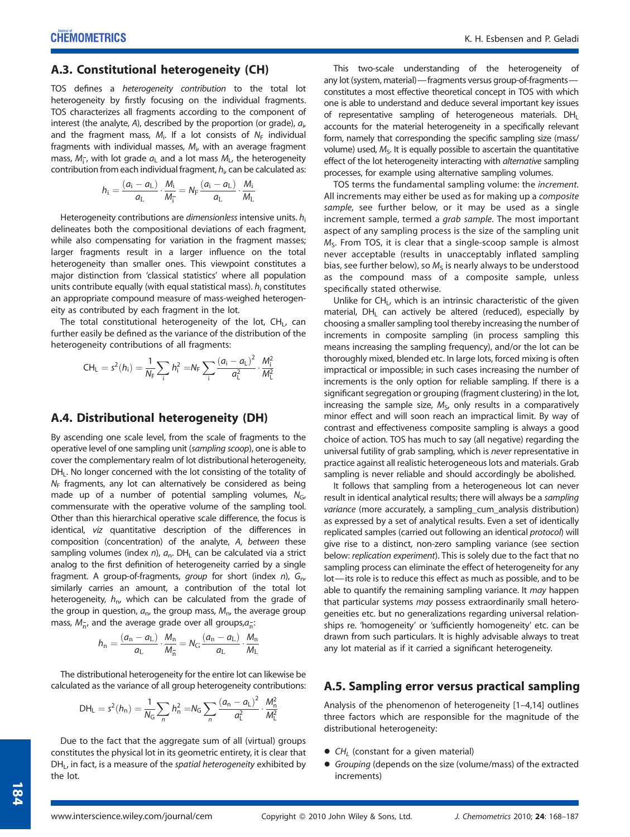#### A.3. Constitutional heterogeneity (CH)

TOS defines a heterogeneity contribution to the total lot heterogeneity by firstly focusing on the individual fragments. TOS characterizes all fragments according to the component of interest (the analyte, A), described by the proportion (or grade),  $a_i$ , and the fragment mass,  $M<sub>i</sub>$ . If a lot consists of  $N<sub>F</sub>$  individual fragments with individual masses,  $M_{\rm i}$ , with an average fragment mass,  $M_i$ , with lot grade  $a_i$  and a lot mass  $M_i$ , the heterogeneity contribution from each individual fragment,  $h_i$ , can be calculated as:

$$
h_i = \frac{(a_i - a_L)}{a_L} \cdot \frac{M_i}{M_{\overline{i}}} = N_{\rm F} \frac{(a_i - a_L)}{a_L} \cdot \frac{M_i}{M_L}
$$

Heterogeneity contributions are *dimensionless* intensive units.  $h_i$ delineates both the compositional deviations of each fragment, while also compensating for variation in the fragment masses; larger fragments result in a larger influence on the total heterogeneity than smaller ones. This viewpoint constitutes a major distinction from 'classical statistics' where all population units contribute equally (with equal statistical mass).  $h_i$  constitutes an appropriate compound measure of mass-weighed heterogeneity as contributed by each fragment in the lot.

The total constitutional heterogeneity of the lot,  $CH<sub>L</sub>$ , can further easily be defined as the variance of the distribution of the heterogeneity contributions of all fragments:

$$
CH_L = s^2(h_i) = \frac{1}{N_F} \sum_i h_i^2 = N_F \sum_i \frac{(a_i - a_L)^2}{a_L^2} \cdot \frac{M_i^2}{M_L^2}
$$

## A.4. Distributional heterogeneity (DH)

By ascending one scale level, from the scale of fragments to the operative level of one sampling unit (sampling scoop), one is able to cover the complementary realm of lot distributional heterogeneity, DH<sub>L</sub>. No longer concerned with the lot consisting of the totality of  $N_F$  fragments, any lot can alternatively be considered as being made up of a number of potential sampling volumes,  $N_{\text{G}}$ , commensurate with the operative volume of the sampling tool. Other than this hierarchical operative scale difference, the focus is identical, viz quantitative description of the differences in composition (concentration) of the analyte, A, between these sampling volumes (index n),  $a_n$ . DH<sub>L</sub> can be calculated via a strict analog to the first definition of heterogeneity carried by a single fragment. A group-of-fragments, group for short (index n),  $G_{n}$ , similarly carries an amount, a contribution of the total lot heterogeneity,  $h_{\rm{n}}$ , which can be calculated from the grade of the group in question,  $a_{\rm{n}}$ , the group mass,  $M_{\rm{n}}$ , the average group mass,  $M_{\text{n}}$ , and the average grade over all groups, $a_{\text{n}}$ :

$$
h_{\rm n} = \frac{(a_{\rm n} - a_{\rm L})}{a_{\rm L}} \cdot \frac{M_{\rm n}}{M_{\overline{n}}} = N_{\rm G} \frac{(a_{\rm n} - a_{\rm L})}{a_{\rm L}} \cdot \frac{M_{\rm n}}{M_{\rm L}}
$$

The distributional heterogeneity for the entire lot can likewise be calculated as the variance of all group heterogeneity contributions:

$$
DH_L=s^2(h_n)=\frac{1}{N_G}\sum_n h_n^2=N_G\sum_n \frac{(a_n-a_L)^2}{a_L^2}\cdot\frac{M_n^2}{M_L^2}
$$

Due to the fact that the aggregate sum of all (virtual) groups constitutes the physical lot in its geometric entirety, it is clear that  $DH<sub>1</sub>$ , in fact, is a measure of the spatial heterogeneity exhibited by the lot.

This two-scale understanding of the heterogeneity of any lot (system, material)—fragments versus group-of-fragments constitutes a most effective theoretical concept in TOS with which one is able to understand and deduce several important key issues of representative sampling of heterogeneous materials. DHL accounts for the material heterogeneity in a specifically relevant form, namely that corresponding the specific sampling size (mass/ volume) used,  $M<sub>S</sub>$ . It is equally possible to ascertain the quantitative effect of the lot heterogeneity interacting with alternative sampling processes, for example using alternative sampling volumes.

TOS terms the fundamental sampling volume: the increment. All increments may either be used as for making up a composite sample, see further below, or it may be used as a single increment sample, termed a grab sample. The most important aspect of any sampling process is the size of the sampling unit  $M<sub>S</sub>$ . From TOS, it is clear that a single-scoop sample is almost never acceptable (results in unacceptably inflated sampling bias, see further below), so  $M<sub>S</sub>$  is nearly always to be understood as the compound mass of a composite sample, unless specifically stated otherwise.

Unlike for  $CH<sub>L</sub>$ , which is an intrinsic characteristic of the given material,  $DH<sub>L</sub>$  can actively be altered (reduced), especially by choosing a smaller sampling tool thereby increasing the number of increments in composite sampling (in process sampling this means increasing the sampling frequency), and/or the lot can be thoroughly mixed, blended etc. In large lots, forced mixing is often impractical or impossible; in such cases increasing the number of increments is the only option for reliable sampling. If there is a significant segregation or grouping (fragment clustering) in the lot, increasing the sample size,  $M_{\rm S}$ , only results in a comparatively minor effect and will soon reach an impractical limit. By way of contrast and effectiveness composite sampling is always a good choice of action. TOS has much to say (all negative) regarding the universal futility of grab sampling, which is never representative in practice against all realistic heterogeneous lots and materials. Grab sampling is never reliable and should accordingly be abolished.

It follows that sampling from a heterogeneous lot can never result in identical analytical results; there will always be a sampling variance (more accurately, a sampling\_cum\_analysis distribution) as expressed by a set of analytical results. Even a set of identically replicated samples (carried out following an identical protocol) will give rise to a distinct, non-zero sampling variance (see section below: replication experiment). This is solely due to the fact that no sampling process can eliminate the effect of heterogeneity for any lot—its role is to reduce this effect as much as possible, and to be able to quantify the remaining sampling variance. It may happen that particular systems may possess extraordinarily small heterogeneities etc. but no generalizations regarding universal relationships re. 'homogeneity' or 'sufficiently homogeneity' etc. can be drawn from such particulars. It is highly advisable always to treat any lot material as if it carried a significant heterogeneity.

#### A.5. Sampling error versus practical sampling

Analysis of the phenomenon of heterogeneity [1–4,14] outlines three factors which are responsible for the magnitude of the distributional heterogeneity:

- $\bullet$  CH<sub>I</sub> (constant for a given material)
- Grouping (depends on the size (volume/mass) of the extracted increments)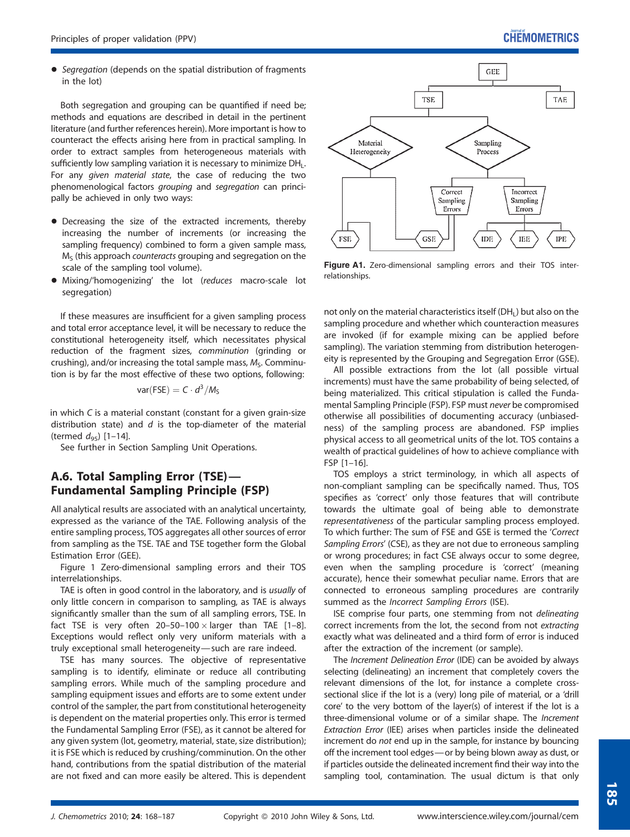• Segregation (depends on the spatial distribution of fragments in the lot)

Both segregation and grouping can be quantified if need be; methods and equations are described in detail in the pertinent literature (and further references herein). More important is how to counteract the effects arising here from in practical sampling. In order to extract samples from heterogeneous materials with sufficiently low sampling variation it is necessary to minimize DH<sub>L</sub>. For any given material state, the case of reducing the two phenomenological factors grouping and segregation can principally be achieved in only two ways:

- Decreasing the size of the extracted increments, thereby increasing the number of increments (or increasing the sampling frequency) combined to form a given sample mass,  $M<sub>S</sub>$  (this approach *counteracts* grouping and segregation on the scale of the sampling tool volume).
- Mixing/'homogenizing' the lot (reduces macro-scale lot segregation)

If these measures are insufficient for a given sampling process and total error acceptance level, it will be necessary to reduce the constitutional heterogeneity itself, which necessitates physical reduction of the fragment sizes, comminution (grinding or crushing), and/or increasing the total sample mass,  $M_S$ . Comminution is by far the most effective of these two options, following:

$$
var(FSE) = C \cdot d^3 / M_S
$$

in which C is a material constant (constant for a given grain-size distribution state) and  $d$  is the top-diameter of the material (termed  $d_{95}$ ) [1-14].

See further in Section Sampling Unit Operations.

## A.6. Total Sampling Error (TSE)— Fundamental Sampling Principle (FSP)

All analytical results are associated with an analytical uncertainty, expressed as the variance of the TAE. Following analysis of the entire sampling process, TOS aggregates all other sources of error from sampling as the TSE. TAE and TSE together form the Global Estimation Error (GEE).

Figure 1 Zero-dimensional sampling errors and their TOS interrelationships.

TAE is often in good control in the laboratory, and is usually of only little concern in comparison to sampling, as TAE is always significantly smaller than the sum of all sampling errors, TSE. In fact TSE is very often 20-50-100  $\times$  larger than TAE [1-8]. Exceptions would reflect only very uniform materials with a truly exceptional small heterogeneity—such are rare indeed.

TSE has many sources. The objective of representative sampling is to identify, eliminate or reduce all contributing sampling errors. While much of the sampling procedure and sampling equipment issues and efforts are to some extent under control of the sampler, the part from constitutional heterogeneity is dependent on the material properties only. This error is termed the Fundamental Sampling Error (FSE), as it cannot be altered for any given system (lot, geometry, material, state, size distribution); it is FSE which is reduced by crushing/comminution. On the other hand, contributions from the spatial distribution of the material are not fixed and can more easily be altered. This is dependent



Figure A1. Zero-dimensional sampling errors and their TOS interrelationships.

not only on the material characteristics itself (DH<sub>L</sub>) but also on the sampling procedure and whether which counteraction measures are invoked (if for example mixing can be applied before sampling). The variation stemming from distribution heterogeneity is represented by the Grouping and Segregation Error (GSE).

All possible extractions from the lot (all possible virtual increments) must have the same probability of being selected, of being materialized. This critical stipulation is called the Fundamental Sampling Principle (FSP). FSP must never be compromised otherwise all possibilities of documenting accuracy (unbiasedness) of the sampling process are abandoned. FSP implies physical access to all geometrical units of the lot. TOS contains a wealth of practical guidelines of how to achieve compliance with FSP [1–16].

TOS employs a strict terminology, in which all aspects of non-compliant sampling can be specifically named. Thus, TOS specifies as 'correct' only those features that will contribute towards the ultimate goal of being able to demonstrate representativeness of the particular sampling process employed. To which further: The sum of FSE and GSE is termed the 'Correct Sampling Errors' (CSE), as they are not due to erroneous sampling or wrong procedures; in fact CSE always occur to some degree, even when the sampling procedure is 'correct' (meaning accurate), hence their somewhat peculiar name. Errors that are connected to erroneous sampling procedures are contrarily summed as the Incorrect Sampling Errors (ISE).

ISE comprise four parts, one stemming from not delineating correct increments from the lot, the second from not extracting exactly what was delineated and a third form of error is induced after the extraction of the increment (or sample).

The Increment Delineation Error (IDE) can be avoided by always selecting (delineating) an increment that completely covers the relevant dimensions of the lot, for instance a complete crosssectional slice if the lot is a (very) long pile of material, or a 'drill core' to the very bottom of the layer(s) of interest if the lot is a three-dimensional volume or of a similar shape. The Increment Extraction Error (IEE) arises when particles inside the delineated increment do not end up in the sample, for instance by bouncing off the increment tool edges—or by being blown away as dust, or if particles outside the delineated increment find their way into the sampling tool, contamination. The usual dictum is that only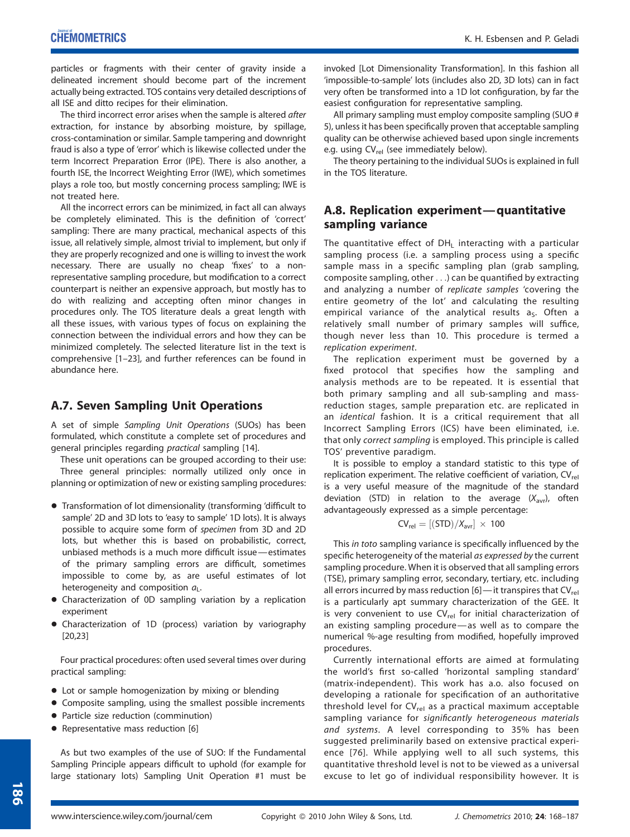particles or fragments with their center of gravity inside a delineated increment should become part of the increment actually being extracted. TOS contains very detailed descriptions of all ISE and ditto recipes for their elimination.

The third incorrect error arises when the sample is altered after extraction, for instance by absorbing moisture, by spillage, cross-contamination or similar. Sample tampering and downright fraud is also a type of 'error' which is likewise collected under the term Incorrect Preparation Error (IPE). There is also another, a fourth ISE, the Incorrect Weighting Error (IWE), which sometimes plays a role too, but mostly concerning process sampling; IWE is not treated here.

All the incorrect errors can be minimized, in fact all can always be completely eliminated. This is the definition of 'correct' sampling: There are many practical, mechanical aspects of this issue, all relatively simple, almost trivial to implement, but only if they are properly recognized and one is willing to invest the work necessary. There are usually no cheap 'fixes' to a nonrepresentative sampling procedure, but modification to a correct counterpart is neither an expensive approach, but mostly has to do with realizing and accepting often minor changes in procedures only. The TOS literature deals a great length with all these issues, with various types of focus on explaining the connection between the individual errors and how they can be minimized completely. The selected literature list in the text is comprehensive [1–23], and further references can be found in abundance here.

## A.7. Seven Sampling Unit Operations

A set of simple Sampling Unit Operations (SUOs) has been formulated, which constitute a complete set of procedures and general principles regarding practical sampling [14].

These unit operations can be grouped according to their use: Three general principles: normally utilized only once in planning or optimization of new or existing sampling procedures:

- Transformation of lot dimensionality (transforming 'difficult to sample' 2D and 3D lots to 'easy to sample' 1D lots). It is always possible to acquire some form of specimen from 3D and 2D lots, but whether this is based on probabilistic, correct, unbiased methods is a much more difficult issue—estimates of the primary sampling errors are difficult, sometimes impossible to come by, as are useful estimates of lot heterogeneity and composition  $a_{L}$ .
- Characterization of 0D sampling variation by a replication experiment
- Characterization of 1D (process) variation by variography [20,23]

Four practical procedures: often used several times over during practical sampling:

- $\bullet$  Lot or sample homogenization by mixing or blending
- Composite sampling, using the smallest possible increments
- Particle size reduction (comminution)
- Representative mass reduction [6]

As but two examples of the use of SUO: If the Fundamental Sampling Principle appears difficult to uphold (for example for large stationary lots) Sampling Unit Operation #1 must be invoked [Lot Dimensionality Transformation]. In this fashion all 'impossible-to-sample' lots (includes also 2D, 3D lots) can in fact very often be transformed into a 1D lot configuration, by far the easiest configuration for representative sampling.

All primary sampling must employ composite sampling (SUO # 5), unless it has been specifically proven that acceptable sampling quality can be otherwise achieved based upon single increments e.g. using  $CV_{rel}$  (see immediately below).

The theory pertaining to the individual SUOs is explained in full in the TOS literature.

## A.8. Replication experiment—quantitative sampling variance

The quantitative effect of  $DH_L$  interacting with a particular sampling process (i.e. a sampling process using a specific sample mass in a specific sampling plan (grab sampling, composite sampling, other ...) can be quantified by extracting and analyzing a number of replicate samples 'covering the entire geometry of the lot' and calculating the resulting empirical variance of the analytical results  $a<sub>S</sub>$ . Often a relatively small number of primary samples will suffice, though never less than 10. This procedure is termed a replication experiment.

The replication experiment must be governed by a fixed protocol that specifies how the sampling and analysis methods are to be repeated. It is essential that both primary sampling and all sub-sampling and massreduction stages, sample preparation etc. are replicated in an identical fashion. It is a critical requirement that all Incorrect Sampling Errors (ICS) have been eliminated, i.e. that only correct sampling is employed. This principle is called TOS' preventive paradigm.

It is possible to employ a standard statistic to this type of replication experiment. The relative coefficient of variation,  $CV_{rel}$ is a very useful measure of the magnitude of the standard deviation (STD) in relation to the average  $(X_{\text{avr}})$ , often advantageously expressed as a simple percentage:

$$
CV_{rel} = [(STD)/X_{avr}] \times 100
$$

This in toto sampling variance is specifically influenced by the specific heterogeneity of the material as expressed by the current sampling procedure. When it is observed that all sampling errors (TSE), primary sampling error, secondary, tertiary, etc. including all errors incurred by mass reduction  $[6]$ —it transpires that CV $_{rel}$ is a particularly apt summary characterization of the GEE. It is very convenient to use  $CV_{rel}$  for initial characterization of an existing sampling procedure—as well as to compare the numerical %-age resulting from modified, hopefully improved procedures.

Currently international efforts are aimed at formulating the world's first so-called 'horizontal sampling standard' (matrix-independent). This work has a.o. also focused on developing a rationale for specification of an authoritative threshold level for  $CV_{rel}$  as a practical maximum acceptable sampling variance for significantly heterogeneous materials and systems. A level corresponding to 35% has been suggested preliminarily based on extensive practical experience [76]. While applying well to all such systems, this quantitative threshold level is not to be viewed as a universal excuse to let go of individual responsibility however. It is